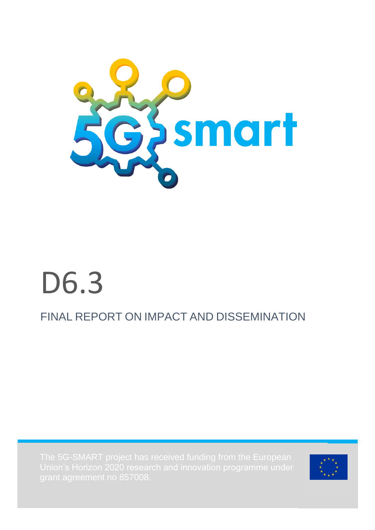

# D6.3

# FINAL REPORT ON IMPACT AND DISSEMINATION

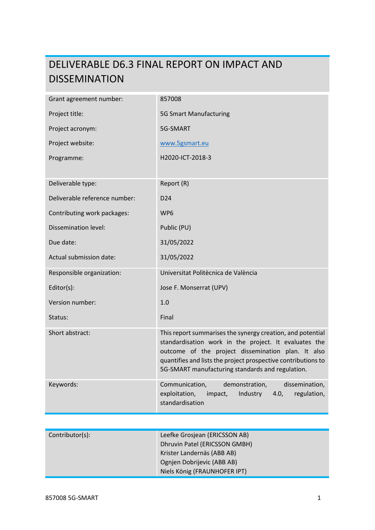# DELIVERABLE D6.3 FINAL REPORT ON IMPACT AND DISSEMINATION

| Grant agreement number:       | 857008                                                                                                                                                                                                                                                                                         |
|-------------------------------|------------------------------------------------------------------------------------------------------------------------------------------------------------------------------------------------------------------------------------------------------------------------------------------------|
| Project title:                | <b>5G Smart Manufacturing</b>                                                                                                                                                                                                                                                                  |
| Project acronym:              | 5G-SMART                                                                                                                                                                                                                                                                                       |
| Project website:              | www.5gsmart.eu                                                                                                                                                                                                                                                                                 |
| Programme:                    | H2020-ICT-2018-3                                                                                                                                                                                                                                                                               |
|                               |                                                                                                                                                                                                                                                                                                |
| Deliverable type:             | Report (R)                                                                                                                                                                                                                                                                                     |
| Deliverable reference number: | D <sub>24</sub>                                                                                                                                                                                                                                                                                |
| Contributing work packages:   | WP6                                                                                                                                                                                                                                                                                            |
| Dissemination level:          | Public (PU)                                                                                                                                                                                                                                                                                    |
| Due date:                     | 31/05/2022                                                                                                                                                                                                                                                                                     |
| Actual submission date:       | 31/05/2022                                                                                                                                                                                                                                                                                     |
| Responsible organization:     | Universitat Politècnica de València                                                                                                                                                                                                                                                            |
| Editor(s):                    | Jose F. Monserrat (UPV)                                                                                                                                                                                                                                                                        |
| Version number:               | 1.0                                                                                                                                                                                                                                                                                            |
| Status:                       | Final                                                                                                                                                                                                                                                                                          |
| Short abstract:               | This report summarises the synergy creation, and potential<br>standardisation work in the project. It evaluates the<br>outcome of the project dissemination plan. It also<br>quantifies and lists the project prospective contributions to<br>5G-SMART manufacturing standards and regulation. |
| Keywords:                     | Communication,<br>demonstration,<br>dissemination,<br>exploitation,<br>impact,<br>Industry<br>4.0,<br>regulation,<br>standardisation                                                                                                                                                           |

| Contributor(s): | Leefke Grosjean (ERICSSON AB) |
|-----------------|-------------------------------|
|                 | Dhruvin Patel (ERICSSON GMBH) |
|                 | Krister Landernäs (ABB AB)    |
|                 | Ognjen Dobrijevic (ABB AB)    |
|                 | Niels König (FRAUNHOFER IPT)  |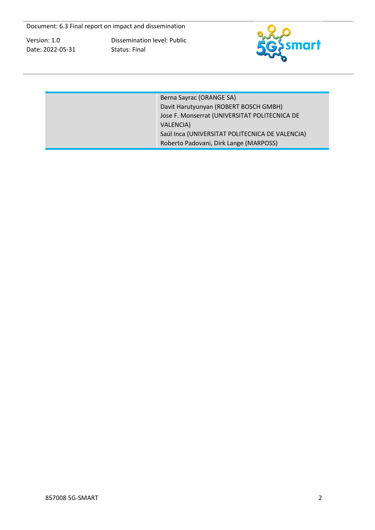Dissemination level: Public Status: Final



| Berna Sayrac (ORANGE SA)<br>Davit Harutyunyan (ROBERT BOSCH GMBH)<br>Jose F. Monserrat (UNIVERSITAT POLITECNICA DE<br><b>VALENCIA)</b> |
|----------------------------------------------------------------------------------------------------------------------------------------|
| Saúl Inca (UNIVERSITAT POLITECNICA DE VALENCIA)<br>Roberto Padovani, Dirk Lange (MARPOSS)                                              |
|                                                                                                                                        |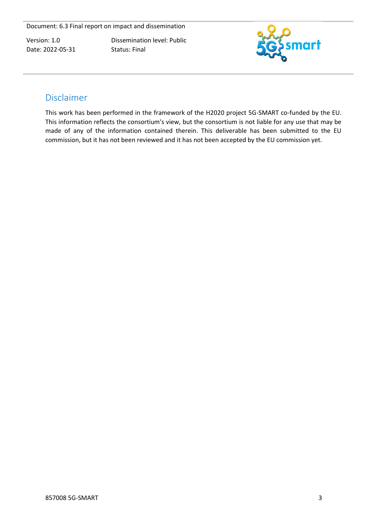Dissemination level: Public Status: Final



# <span id="page-3-0"></span>Disclaimer

This work has been performed in the framework of the H2020 project 5G-SMART co-funded by the EU. This information reflects the consortium's view, but the consortium is not liable for any use that may be made of any of the information contained therein. This deliverable has been submitted to the EU commission, but it has not been reviewed and it has not been accepted by the EU commission yet.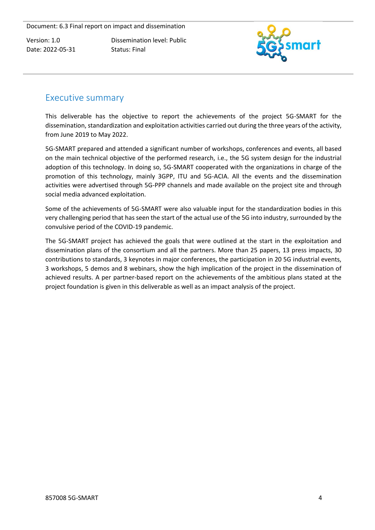Dissemination level: Public Status: Final



# <span id="page-4-0"></span>Executive summary

This deliverable has the objective to report the achievements of the project 5G-SMART for the dissemination, standardization and exploitation activities carried out during the three years of the activity, from June 2019 to May 2022.

5G-SMART prepared and attended a significant number of workshops, conferences and events, all based on the main technical objective of the performed research, i.e., the 5G system design for the industrial adoption of this technology. In doing so, 5G-SMART cooperated with the organizations in charge of the promotion of this technology, mainly 3GPP, ITU and 5G-ACIA. All the events and the dissemination activities were advertised through 5G-PPP channels and made available on the project site and through social media advanced exploitation.

Some of the achievements of 5G-SMART were also valuable input for the standardization bodies in this very challenging period that has seen the start of the actual use of the 5G into industry, surrounded by the convulsive period of the COVID-19 pandemic.

The 5G-SMART project has achieved the goals that were outlined at the start in the exploitation and dissemination plans of the consortium and all the partners. More than 25 papers, 13 press impacts, 30 contributions to standards, 3 keynotes in major conferences, the participation in 20 5G industrial events, 3 workshops, 5 demos and 8 webinars, show the high implication of the project in the dissemination of achieved results. A per partner-based report on the achievements of the ambitious plans stated at the project foundation is given in this deliverable as well as an impact analysis of the project.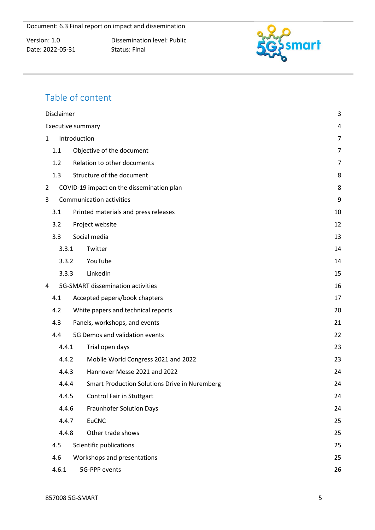Dissemination level: Public Status: Final



# Table of content

| Disclaimer |                                                      | 3              |
|------------|------------------------------------------------------|----------------|
|            | Executive summary                                    | 4              |
| 1          | Introduction                                         | $\overline{7}$ |
| 1.1        | Objective of the document                            | 7              |
| 1.2        | Relation to other documents                          | 7              |
| 1.3        | Structure of the document                            | 8              |
| 2          | COVID-19 impact on the dissemination plan            | 8              |
| 3          | <b>Communication activities</b>                      | 9              |
| 3.1        | Printed materials and press releases                 | 10             |
| 3.2        | Project website                                      | 12             |
| 3.3        | Social media                                         | 13             |
| 3.3.1      | Twitter                                              | 14             |
| 3.3.2      | YouTube                                              | 14             |
| 3.3.3      | LinkedIn                                             | 15             |
| 4          | 5G-SMART dissemination activities                    | 16             |
| 4.1        | Accepted papers/book chapters                        | 17             |
| 4.2        | White papers and technical reports                   | 20             |
| 4.3        | Panels, workshops, and events                        | 21             |
| 4.4        | 5G Demos and validation events                       | 22             |
| 4.4.1      | Trial open days                                      | 23             |
| 4.4.2      | Mobile World Congress 2021 and 2022                  | 23             |
| 4.4.3      | Hannover Messe 2021 and 2022                         | 24             |
| 4.4.4      | <b>Smart Production Solutions Drive in Nuremberg</b> | 24             |
| 4.4.5      | <b>Control Fair in Stuttgart</b>                     | 24             |
| 4.4.6      | <b>Fraunhofer Solution Days</b>                      | 24             |
| 4.4.7      | <b>EuCNC</b>                                         | 25             |
| 4.4.8      | Other trade shows                                    | 25             |
| 4.5        | Scientific publications                              | 25             |
| 4.6        | Workshops and presentations                          | 25             |
| 4.6.1      | 5G-PPP events                                        | 26             |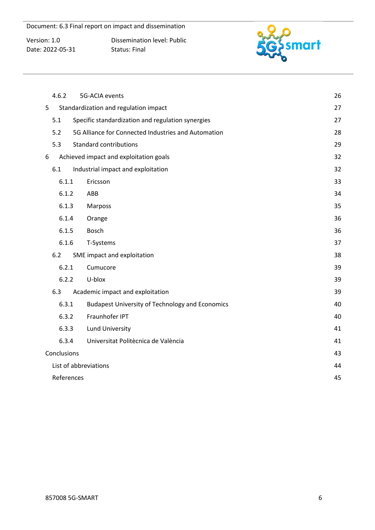Version: 1.0 Date: 2022-05-31 Dissemination level: Public Status: Final



| 4.6.2       | 5G-ACIA events                                         | 26 |
|-------------|--------------------------------------------------------|----|
| 5           | Standardization and regulation impact                  | 27 |
| 5.1         | Specific standardization and regulation synergies      | 27 |
| 5.2         | 5G Alliance for Connected Industries and Automation    | 28 |
| 5.3         | <b>Standard contributions</b>                          | 29 |
| 6           | Achieved impact and exploitation goals                 | 32 |
| 6.1         | Industrial impact and exploitation                     | 32 |
| 6.1.1       | Ericsson                                               | 33 |
| 6.1.2       | ABB                                                    | 34 |
| 6.1.3       | Marposs                                                | 35 |
| 6.1.4       | Orange                                                 | 36 |
| 6.1.5       | Bosch                                                  | 36 |
| 6.1.6       | T-Systems                                              | 37 |
| 6.2         | SME impact and exploitation                            | 38 |
| 6.2.1       | Cumucore                                               | 39 |
| 6.2.2       | U-blox                                                 | 39 |
| 6.3         | Academic impact and exploitation                       | 39 |
| 6.3.1       | <b>Budapest University of Technology and Economics</b> | 40 |
| 6.3.2       | Fraunhofer IPT                                         | 40 |
| 6.3.3       | <b>Lund University</b>                                 | 41 |
| 6.3.4       | Universitat Politècnica de València                    | 41 |
| Conclusions |                                                        | 43 |
|             | List of abbreviations                                  | 44 |
| References  |                                                        | 45 |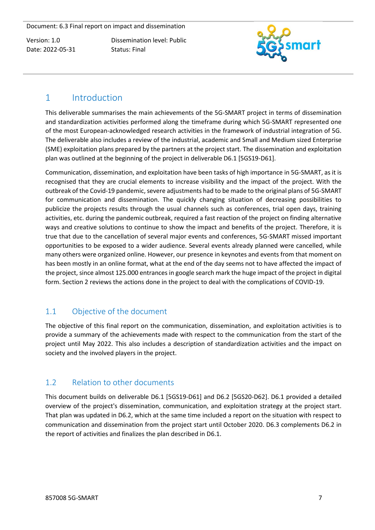Dissemination level: Public Status: Final



# <span id="page-7-0"></span>1 Introduction

This deliverable summarises the main achievements of the 5G-SMART project in terms of dissemination and standardization activities performed along the timeframe during which 5G-SMART represented one of the most European-acknowledged research activities in the framework of industrial integration of 5G. The deliverable also includes a review of the industrial, academic and Small and Medium sized Enterprise (SME) exploitation plans prepared by the partners at the project start. The dissemination and exploitation plan was outlined at the beginning of the project in deliverable D6.1 [5GS19-D61].

Communication, dissemination, and exploitation have been tasks of high importance in 5G-SMART, as it is recognised that they are crucial elements to increase visibility and the impact of the project. With the outbreak of the Covid-19 pandemic, severe adjustments had to be made to the original plans of 5G-SMART for communication and dissemination. The quickly changing situation of decreasing possibilities to publicize the projects results through the usual channels such as conferences, trial open days, training activities, etc. during the pandemic outbreak, required a fast reaction of the project on finding alternative ways and creative solutions to continue to show the impact and benefits of the project. Therefore, it is true that due to the cancellation of several major events and conferences, 5G-SMART missed important opportunities to be exposed to a wider audience. Several events already planned were cancelled, while many others were organized online. However, our presence in keynotes and events from that moment on has been mostly in an online format, what at the end of the day seems not to have affected the impact of the project, since almost 125.000 entrances in google search mark the huge impact of the project in digital form. Section 2 reviews the actions done in the project to deal with the complications of COVID-19.

# <span id="page-7-1"></span>1.1 Objective of the document

The objective of this final report on the communication, dissemination, and exploitation activities is to provide a summary of the achievements made with respect to the communication from the start of the project until May 2022. This also includes a description of standardization activities and the impact on society and the involved players in the project.

# <span id="page-7-2"></span>1.2 Relation to other documents

This document builds on deliverable D6.1 [5GS19-D61] and D6.2 [5GS20-D62]. D6.1 provided a detailed overview of the project's dissemination, communication, and exploitation strategy at the project start. That plan was updated in D6.2, which at the same time included a report on the situation with respect to communication and dissemination from the project start until October 2020. D6.3 complements D6.2 in the report of activities and finalizes the plan described in D6.1.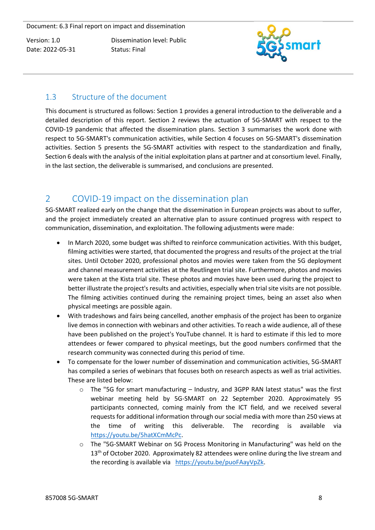Dissemination level: Public Status: Final



# <span id="page-8-0"></span>1.3 Structure of the document

This document is structured as follows: Section 1 provides a general introduction to the deliverable and a detailed description of this report. Section 2 reviews the actuation of 5G-SMART with respect to the COVID-19 pandemic that affected the dissemination plans. Section 3 summarises the work done with respect to 5G-SMART's communication activities, while Section 4 focuses on 5G-SMART's dissemination activities. Section 5 presents the 5G-SMART activities with respect to the standardization and finally, Section 6 deals with the analysis of the initial exploitation plans at partner and at consortium level. Finally, in the last section, the deliverable is summarised, and conclusions are presented.

# <span id="page-8-1"></span>2 COVID-19 impact on the dissemination plan

5G-SMART realized early on the change that the dissemination in European projects was about to suffer, and the project immediately created an alternative plan to assure continued progress with respect to communication, dissemination, and exploitation. The following adjustments were made:

- In March 2020, some budget was shifted to reinforce communication activities. With this budget, filming activities were started, that documented the progress and results of the project at the trial sites. Until October 2020, professional photos and movies were taken from the 5G deployment and channel measurement activities at the Reutlingen trial site. Furthermore, photos and movies were taken at the Kista trial site. These photos and movies have been used during the project to better illustrate the project's results and activities, especially when trial site visits are not possible. The filming activities continued during the remaining project times, being an asset also when physical meetings are possible again.
- With tradeshows and fairs being cancelled, another emphasis of the project has been to organize live demos in connection with webinars and other activities. To reach a wide audience, all of these have been published on the project's YouTube channel. It is hard to estimate if this led to more attendees or fewer compared to physical meetings, but the good numbers confirmed that the research community was connected during this period of time.
- To compensate for the lower number of dissemination and communication activities, 5G-SMART has compiled a series of webinars that focuses both on research aspects as well as trial activities. These are listed below:
	- $\circ$  The "5G for smart manufacturing Industry, and 3GPP RAN latest status" was the first webinar meeting held by 5G-SMART on 22 September 2020. Approximately 95 participants connected, coming mainly from the ICT field, and we received several requests for additional information through our social media with more than 250 views at the time of writing this deliverable. The recording is available via [https://youtu.be/5hatXCmMcPc.](https://youtu.be/5hatXCmMcPc)
	- o The "5G-SMART Webinar on 5G Process Monitoring in Manufacturing" was held on the 13<sup>th</sup> of October 2020. Approximately 82 attendees were online during the live stream and the recording is available via [https://youtu.be/puoFAayVpZk.](https://youtu.be/puoFAayVpZk)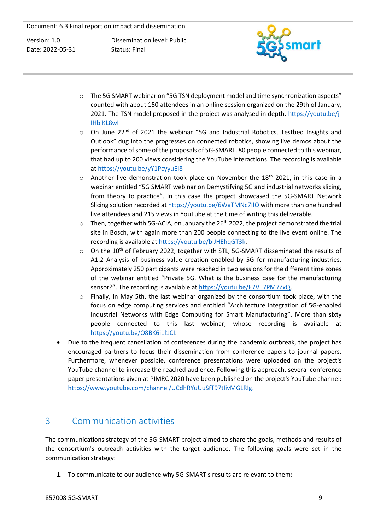Dissemination level: Public Status: Final



- $\circ$  The 5G SMART webinar on "5G TSN deployment model and time synchronization aspects" counted with about 150 attendees in an online session organized on the 29th of January, 2021. The TSN model proposed in the project was analysed in depth. [https://youtu.be/j-](https://youtu.be/j-IHbjKL8wI)[IHbjKL8wI](https://youtu.be/j-IHbjKL8wI)
- o On June 22<sup>nd</sup> of 2021 the webinar "5G and Industrial Robotics, Testbed Insights and Outlook" dug into the progresses on connected robotics, showing live demos about the performance of some of the proposals of 5G-SMART. 80 people connected to this webinar, that had up to 200 views considering the YouTube interactions. The recording is available a[t https://youtu.be/yY1PcyyuEI8](https://youtu.be/yY1PcyyuEI8)
- $\circ$  Another live demonstration took place on November the 18<sup>th</sup> 2021, in this case in a webinar entitled "5G SMART webinar on Demystifying 5G and industrial networks slicing, from theory to practice". In this case the project showcased the 5G-SMART Network Slicing solution recorded at<https://youtu.be/6WaTMNc7IIQ> with more than one hundred live attendees and 215 views in YouTube at the time of writing this deliverable.
- $\circ$  Then, together with 5G-ACIA, on January the 26<sup>th</sup> 2022, the project demonstrated the trial site in Bosch, with again more than 200 people connecting to the live event online. The recording is available at [https://youtu.be/blJHEhqGT3k.](https://youtu.be/blJHEhqGT3k)
- $\circ$  On the 10<sup>th</sup> of February 2022, together with STL, 5G-SMART disseminated the results of A1.2 Analysis of business value creation enabled by 5G for manufacturing industries. Approximately 250 participants were reached in two sessions for the different time zones of the webinar entitled "Private 5G. What is the business case for the manufacturing sensor?". The recording is available at [https://youtu.be/E7V\\_7PM7ZxQ.](https://youtu.be/E7V_7PM7ZxQ)
- $\circ$  Finally, in May 5th, the last webinar organized by the consortium took place, with the focus on edge computing services and entitled "Architecture Integration of 5G-enabled Industrial Networks with Edge Computing for Smart Manufacturing". More than sixty people connected to this last webinar, whose recording is available at [https://youtu.be/O8BK6i1l1CI.](https://youtu.be/O8BK6i1l1CI)
- Due to the frequent cancellation of conferences during the pandemic outbreak, the project has encouraged partners to focus their dissemination from conference papers to journal papers. Furthermore, whenever possible, conference presentations were uploaded on the project's YouTube channel to increase the reached audience. Following this approach, several conference paper presentations given at PIMRC 2020 have been published on the project's YouTube channel: [https://www.youtube.com/channel/UCdhRYuUuSfT97tIivMGLRIg.](https://www.youtube.com/channel/UCdhRYuUuSfT97tIivMGLRIg)

# <span id="page-9-0"></span>3 Communication activities

The communications strategy of the 5G-SMART project aimed to share the goals, methods and results of the consortium's outreach activities with the target audience. The following goals were set in the communication strategy:

1. To communicate to our audience why 5G-SMART's results are relevant to them: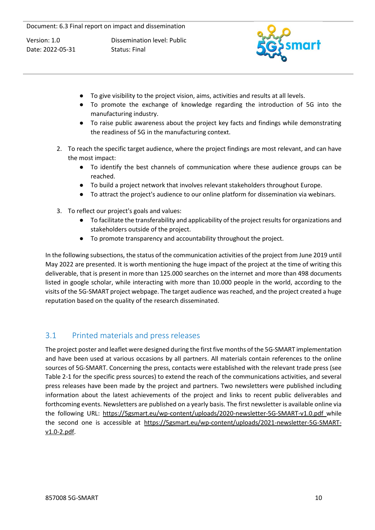Dissemination level: Public Status: Final



- To give visibility to the project vision, aims, activities and results at all levels.
- To promote the exchange of knowledge regarding the introduction of 5G into the manufacturing industry.
- To raise public awareness about the project key facts and findings while demonstrating the readiness of 5G in the manufacturing context.
- 2. To reach the specific target audience, where the project findings are most relevant, and can have the most impact:
	- To identify the best channels of communication where these audience groups can be reached.
	- To build a project network that involves relevant stakeholders throughout Europe.
	- To attract the project's audience to our online platform for dissemination via webinars.
- 3. To reflect our project's goals and values:
	- To facilitate the transferability and applicability of the project results for organizations and stakeholders outside of the project.
	- To promote transparency and accountability throughout the project.

In the following subsections, the status of the communication activities of the project from June 2019 until May 2022 are presented. It is worth mentioning the huge impact of the project at the time of writing this deliverable, that is present in more than 125.000 searches on the internet and more than 498 documents listed in google scholar, while interacting with more than 10.000 people in the world, according to the visits of the 5G-SMART project webpage. The target audience was reached, and the project created a huge reputation based on the quality of the research disseminated.

# <span id="page-10-0"></span>3.1 Printed materials and press releases

The project poster and leaflet were designed during the first five months of the 5G-SMART implementation and have been used at various occasions by all partners. All materials contain references to the online sources of 5G-SMART. Concerning the press, contacts were established with the relevant trade press (see Table 2-1 for the specific press sources) to extend the reach of the communications activities, and several press releases have been made by the project and partners. Two newsletters were published including information about the latest achievements of the project and links to recent public deliverables and forthcoming events. Newsletters are published on a yearly basis. The first newsletter is available online via the following URL: <https://5gsmart.eu/wp-content/uploads/2020-newsletter-5G-SMART-v1.0.pdf> while the second one is accessible at [https://5gsmart.eu/wp-content/uploads/2021-newsletter-5G-SMART](https://5gsmart.eu/wp-content/uploads/2021-newsletter-5G-SMART-v1.0-2.pdf)[v1.0-2.pdf.](https://5gsmart.eu/wp-content/uploads/2021-newsletter-5G-SMART-v1.0-2.pdf)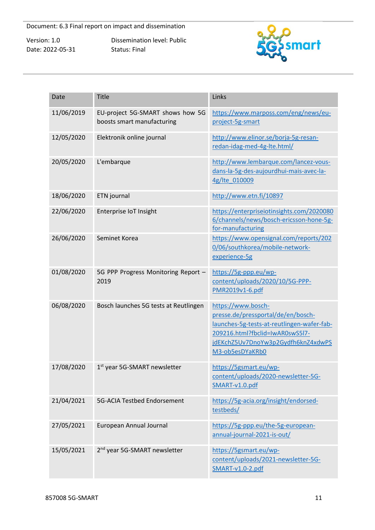Dissemination level: Public Status: Final



| Date       | <b>Title</b>                                                   | Links                                                                                                                                                                                              |
|------------|----------------------------------------------------------------|----------------------------------------------------------------------------------------------------------------------------------------------------------------------------------------------------|
| 11/06/2019 | EU-project 5G-SMART shows how 5G<br>boosts smart manufacturing | https://www.marposs.com/eng/news/eu-<br>project-5g-smart                                                                                                                                           |
| 12/05/2020 | Elektronik online journal                                      | http://www.elinor.se/borja-5g-resan-<br>redan-idag-med-4g-lte.html/                                                                                                                                |
| 20/05/2020 | L'embarque                                                     | http://www.lembarque.com/lancez-vous-<br>dans-la-5g-des-aujourdhui-mais-avec-la-<br>4g/lte 010009                                                                                                  |
| 18/06/2020 | ETN journal                                                    | http://www.etn.fi/10897                                                                                                                                                                            |
| 22/06/2020 | Enterprise IoT Insight                                         | https://enterpriseiotinsights.com/2020080<br>6/channels/news/bosch-ericsson-hone-5g-<br>for-manufacturing                                                                                          |
| 26/06/2020 | Seminet Korea                                                  | https://www.opensignal.com/reports/202<br>0/06/southkorea/mobile-network-<br>experience-5g                                                                                                         |
| 01/08/2020 | 5G PPP Progress Monitoring Report -<br>2019                    | https://5g-ppp.eu/wp-<br>content/uploads/2020/10/5G-PPP-<br>PMR2019v1-6.pdf                                                                                                                        |
| 06/08/2020 | Bosch launches 5G tests at Reutlingen                          | https://www.bosch-<br>presse.de/pressportal/de/en/bosch-<br>launches-5g-tests-at-reutlingen-wafer-fab-<br>209216.html?fbclid=IwAR0swS5l7-<br>jdEKchZ5Uv7DnoYw3p2Gydfh6knZ4xdwPS<br>M3-ob5esDYaKRb0 |
| 17/08/2020 | 1 <sup>st</sup> year 5G-SMART newsletter                       | https://5gsmart.eu/wp-<br>content/uploads/2020-newsletter-5G-<br>SMART-v1.0.pdf                                                                                                                    |
| 21/04/2021 | 5G-ACIA Testbed Endorsement                                    | https://5g-acia.org/insight/endorsed-<br>testbeds/                                                                                                                                                 |
| 27/05/2021 | European Annual Journal                                        | https://5g-ppp.eu/the-5g-european-<br>annual-journal-2021-is-out/                                                                                                                                  |
| 15/05/2021 | 2 <sup>nd</sup> year 5G-SMART newsletter                       | https://5gsmart.eu/wp-<br>content/uploads/2021-newsletter-5G-<br>SMART-v1.0-2.pdf                                                                                                                  |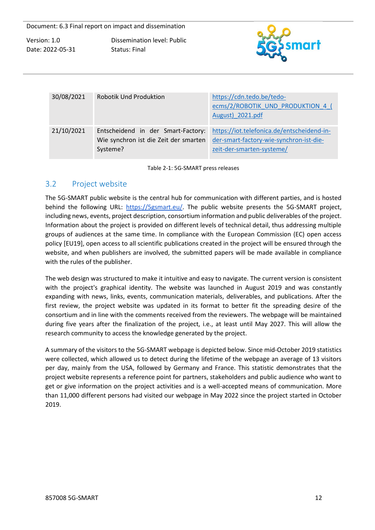Dissemination level: Public Status: Final



| 30/08/2021 | <b>Robotik Und Produktion</b>                                                           | https://cdn.tedo.be/tedo-<br>ecms/2/ROBOTIK_UND_PRODUKTION_4 (<br>August) 2021.pdf                                 |
|------------|-----------------------------------------------------------------------------------------|--------------------------------------------------------------------------------------------------------------------|
| 21/10/2021 | Entscheidend in der Smart-Factory:<br>Wie synchron ist die Zeit der smarten<br>Systeme? | https://iot.telefonica.de/entscheidend-in-<br>der-smart-factory-wie-synchron-ist-die-<br>zeit-der-smarten-systeme/ |

Table 2-1: 5G-SMART press releases

#### <span id="page-12-0"></span>3.2 Project website

The 5G-SMART public website is the central hub for communication with different parties, and is hosted behind the following URL: [https://5gsmart.eu/.](https://5gsmart.eu/) The public website presents the 5G-SMART project, including news, events, project description, consortium information and public deliverables of the project. Information about the project is provided on different levels of technical detail, thus addressing multiple groups of audiences at the same time. In compliance with the European Commission (EC) open access policy [EU19], open access to all scientific publications created in the project will be ensured through the website, and when publishers are involved, the submitted papers will be made available in compliance with the rules of the publisher.

The web design was structured to make it intuitive and easy to navigate. The current version is consistent with the project's graphical identity. The website was launched in August 2019 and was constantly expanding with news, links, events, communication materials, deliverables, and publications. After the first review, the project website was updated in its format to better fit the spreading desire of the consortium and in line with the comments received from the reviewers. The webpage will be maintained during five years after the finalization of the project, i.e., at least until May 2027. This will allow the research community to access the knowledge generated by the project.

A summary of the visitors to the 5G-SMART webpage is depicted below. Since mid-October 2019 statistics were collected, which allowed us to detect during the lifetime of the webpage an average of 13 visitors per day, mainly from the USA, followed by Germany and France. This statistic demonstrates that the project website represents a reference point for partners, stakeholders and public audience who want to get or give information on the project activities and is a well-accepted means of communication. More than 11,000 different persons had visited our webpage in May 2022 since the project started in October 2019.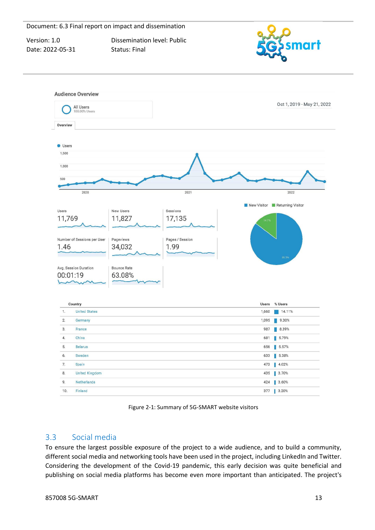Version: 1.0 Date: 2022-05-31 Dissemination level: Public Status: Final



|                | All Users<br>100.00% Users  |                    |                 |       | Oct 1, 2019 - May 21, 2022    |
|----------------|-----------------------------|--------------------|-----------------|-------|-------------------------------|
| Overview       |                             |                    |                 |       |                               |
| <b>Users</b>   |                             |                    |                 |       |                               |
| 1,500          |                             |                    |                 |       |                               |
| 1,000          |                             |                    |                 |       |                               |
| 500            |                             |                    |                 |       |                               |
|                |                             |                    |                 |       |                               |
|                | 2020                        |                    | 2021            |       | 2022                          |
|                |                             |                    |                 |       | New Visitor Returning Visitor |
| Users          |                             | New Users          | Sessions        |       |                               |
| 11,769         |                             | 11,827             | 17,135          | 14.7% |                               |
|                |                             |                    |                 |       |                               |
|                | Number of Sessions per User | Pageviews          | Pages / Session |       |                               |
| 1.46           |                             | 34,032             | 1.99            |       |                               |
|                |                             |                    |                 |       |                               |
|                |                             |                    |                 |       | 85.3%                         |
|                | Avg. Session Duration       | <b>Bounce Rate</b> |                 |       |                               |
|                | 00:01:19                    | 63.08%             |                 |       |                               |
|                |                             |                    |                 |       |                               |
|                |                             |                    |                 |       |                               |
|                | Country                     |                    |                 | Users | % Users                       |
| 1.             | <b>United States</b>        |                    |                 | 1,660 | 14.11%                        |
| 2.             | Germany                     |                    |                 | 1,095 | 9.30%                         |
| 3.             | France                      |                    |                 | 987   | 8.39%                         |
| 4.             | China                       |                    |                 | 681   | $\sqrt{5.79\%}$               |
| 5.             | <b>Belarus</b>              |                    |                 | 656   | $\sqrt{5.57\%}$               |
| 6.             | Sweden                      |                    |                 | 633   | 5.38%                         |
|                | Spain                       |                    |                 | 473   | 4.02%                         |
|                |                             |                    |                 | 435   |                               |
|                | <b>United Kingdom</b>       |                    |                 |       | $\blacksquare$ 3.70%          |
| 7.<br>8.<br>9. | Netherlands                 |                    |                 | 424   | 3.60%<br>n.                   |

Figure 2-1: Summary of 5G-SMART website visitors

# <span id="page-13-0"></span>3.3 Social media

To ensure the largest possible exposure of the project to a wide audience, and to build a community, different social media and networking tools have been used in the project, including LinkedIn and Twitter. Considering the development of the Covid-19 pandemic, this early decision was quite beneficial and publishing on social media platforms has become even more important than anticipated. The project's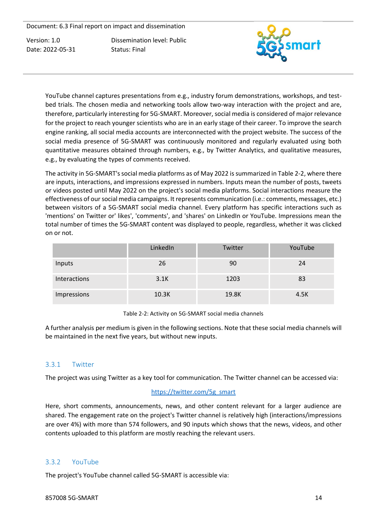Dissemination level: Public Status: Final



YouTube channel captures presentations from e.g., industry forum demonstrations, workshops, and testbed trials. The chosen media and networking tools allow two-way interaction with the project and are, therefore, particularly interesting for 5G-SMART. Moreover, social media is considered of major relevance for the project to reach younger scientists who are in an early stage of their career. To improve the search engine ranking, all social media accounts are interconnected with the project website. The success of the social media presence of 5G-SMART was continuously monitored and regularly evaluated using both quantitative measures obtained through numbers, e.g., by Twitter Analytics, and qualitative measures, e.g., by evaluating the types of comments received.

The activity in 5G-SMART's social media platforms as of May 2022 is summarized in Table 2-2, where there are inputs, interactions, and impressions expressed in numbers. Inputs mean the number of posts, tweets or videos posted until May 2022 on the project's social media platforms. Social interactions measure the effectiveness of our social media campaigns. It represents communication (i.e.: comments, messages, etc.) between visitors of a 5G-SMART social media channel. Every platform has specific interactions such as 'mentions' on Twitter or' likes', 'comments', and 'shares' on LinkedIn or YouTube. Impressions mean the total number of times the 5G-SMART content was displayed to people, regardless, whether it was clicked on or not.

|              | LinkedIn | Twitter | YouTube |
|--------------|----------|---------|---------|
| Inputs       | 26       | 90      | 24      |
| Interactions | 3.1K     | 1203    | 83      |
| Impressions  | 10.3K    | 19.8K   | 4.5K    |

Table 2-2: Activity on 5G-SMART social media channels

A further analysis per medium is given in the following sections. Note that these social media channels will be maintained in the next five years, but without new inputs.

#### <span id="page-14-0"></span>3.3.1 Twitter

The project was using Twitter as a key tool for communication. The Twitter channel can be accessed via:

#### [https://twitter.com/5g\\_smart](https://twitter.com/5g_smart)

Here, short comments, announcements, news, and other content relevant for a larger audience are shared. The engagement rate on the project's Twitter channel is relatively high (interactions/impressions are over 4%) with more than 574 followers, and 90 inputs which shows that the news, videos, and other contents uploaded to this platform are mostly reaching the relevant users.

#### <span id="page-14-1"></span>3.3.2 YouTube

The project's YouTube channel called 5G-SMART is accessible via: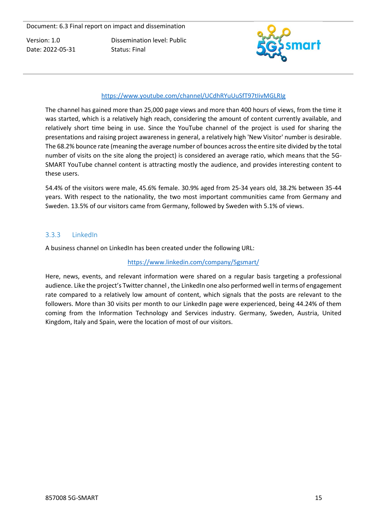Dissemination level: Public Status: Final



#### <https://www.youtube.com/channel/UCdhRYuUuSfT97tIivMGLRIg>

The channel has gained more than 25,000 page views and more than 400 hours of views, from the time it was started, which is a relatively high reach, considering the amount of content currently available, and relatively short time being in use. Since the YouTube channel of the project is used for sharing the presentations and raising project awareness in general, a relatively high 'New Visitor' number is desirable. The 68.2% bounce rate (meaning the average number of bounces across the entire site divided by the total number of visits on the site along the project) is considered an average ratio, which means that the 5G-SMART YouTube channel content is attracting mostly the audience, and provides interesting content to these users.

54.4% of the visitors were male, 45.6% female. 30.9% aged from 25-34 years old, 38.2% between 35-44 years. With respect to the nationality, the two most important communities came from Germany and Sweden. 13.5% of our visitors came from Germany, followed by Sweden with 5.1% of views.

#### <span id="page-15-0"></span>3.3.3 LinkedIn

A business channel on LinkedIn has been created under the following URL:

#### <https://www.linkedin.com/company/5gsmart/>

Here, news, events, and relevant information were shared on a regular basis targeting a professional audience. Like the project's Twitter channel, the LinkedIn one also performed well in terms of engagement rate compared to a relatively low amount of content, which signals that the posts are relevant to the followers. More than 30 visits per month to our LinkedIn page were experienced, being 44.24% of them coming from the Information Technology and Services industry. Germany, Sweden, Austria, United Kingdom, Italy and Spain, were the location of most of our visitors.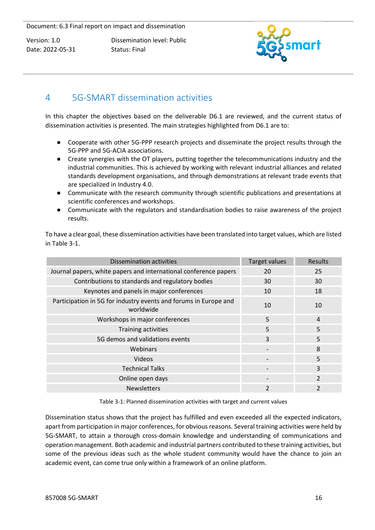Dissemination level: Public Status: Final



# <span id="page-16-0"></span>4 5G-SMART dissemination activities

In this chapter the objectives based on the deliverable D6.1 are reviewed, and the current status of dissemination activities is presented. The main strategies highlighted from D6.1 are to:

- Cooperate with other 5G-PPP research projects and disseminate the project results through the 5G-PPP and 5G-ACIA associations.
- Create synergies with the OT players, putting together the telecommunications industry and the industrial communities. This is achieved by working with relevant industrial alliances and related standards development organisations, and through demonstrations at relevant trade events that are specialized in Industry 4.0.
- Communicate with the research community through scientific publications and presentations at scientific conferences and workshops.
- Communicate with the regulators and standardisation bodies to raise awareness of the project results.

To have a clear goal, these dissemination activities have been translated into target values, which are listed in Table 3-1.

| Dissemination activities                                                      | <b>Target values</b> | Results                 |
|-------------------------------------------------------------------------------|----------------------|-------------------------|
| Journal papers, white papers and international conference papers              | 20                   | 25                      |
| Contributions to standards and regulatory bodies                              | 30                   | 30                      |
| Keynotes and panels in major conferences                                      | 10                   | 18                      |
| Participation in 5G for industry events and forums in Europe and<br>worldwide | 10                   | 10                      |
| Workshops in major conferences                                                | 5                    | $\overline{4}$          |
| Training activities                                                           | 5                    | 5                       |
| 5G demos and validations events                                               | 3                    | 5                       |
| Webinars                                                                      |                      | 8                       |
| Videos                                                                        |                      | 5                       |
| <b>Technical Talks</b>                                                        |                      | 3                       |
| Online open days                                                              |                      | $\mathcal{P}$           |
| <b>Newsletters</b>                                                            | $\mathfrak{p}$       | $\overline{\mathbf{c}}$ |

Table 3-1: Planned dissemination activities with target and current values

Dissemination status shows that the project has fulfilled and even exceeded all the expected indicators, apart from participation in major conferences, for obvious reasons. Several training activities were held by 5G-SMART, to attain a thorough cross-domain knowledge and understanding of communications and operation management. Both academic and industrial partners contributed to these training activities, but some of the previous ideas such as the whole student community would have the chance to join an academic event, can come true only within a framework of an online platform.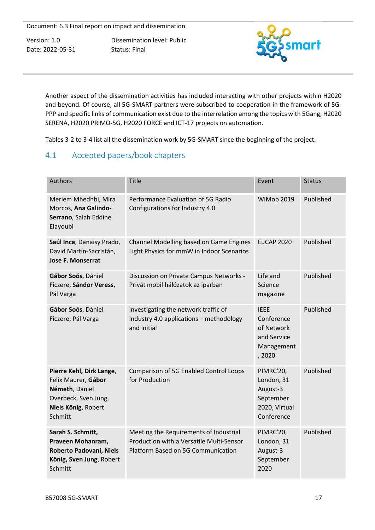Dissemination level: Public Status: Final



Another aspect of the dissemination activities has included interacting with other projects within H2020 and beyond. Of course, all 5G-SMART partners were subscribed to cooperation in the framework of 5G-PPP and specific links of communication exist due to the interrelation among the topics with 5Gang, H2020 SERENA, H2020 PRIMO-5G, H2020 FORCE and ICT-17 projects on automation.

Tables 3-2 to 3-4 list all the dissemination work by 5G-SMART since the beginning of the project.

# <span id="page-17-0"></span>4.1 Accepted papers/book chapters

| <b>Authors</b>                                                                                                              | <b>Title</b>                                                                                                             | Event                                                                           | <b>Status</b> |
|-----------------------------------------------------------------------------------------------------------------------------|--------------------------------------------------------------------------------------------------------------------------|---------------------------------------------------------------------------------|---------------|
| Meriem Mhedhbi, Mira<br>Morcos, Ana Galindo-<br>Serrano, Salah Eddine<br>Elayoubi                                           | Performance Evaluation of 5G Radio<br>Configurations for Industry 4.0                                                    | <b>WiMob 2019</b>                                                               | Published     |
| Saúl Inca, Danaisy Prado,<br>David Martín-Sacristán,<br><b>Jose F. Monserrat</b>                                            | Channel Modelling based on Game Engines<br>Light Physics for mmW in Indoor Scenarios                                     | <b>EuCAP 2020</b>                                                               | Published     |
| Gábor Soós, Dániel<br>Ficzere, Sándor Veress,<br>Pál Varga                                                                  | Discussion on Private Campus Networks -<br>Privát mobil hálózatok az iparban                                             | Life and<br>Science<br>magazine                                                 | Published     |
| Gábor Soós, Dániel<br>Ficzere, Pál Varga                                                                                    | Investigating the network traffic of<br>Industry 4.0 applications - methodology<br>and initial                           | <b>IEEE</b><br>Conference<br>of Network<br>and Service<br>Management<br>, 2020  | Published     |
| Pierre Kehl, Dirk Lange,<br>Felix Maurer, Gábor<br>Németh, Daniel<br>Overbeck, Sven Jung,<br>Niels König, Robert<br>Schmitt | <b>Comparison of 5G Enabled Control Loops</b><br>for Production                                                          | PIMRC'20,<br>London, 31<br>August-3<br>September<br>2020, Virtual<br>Conference | Published     |
| Sarah S. Schmitt,<br>Praveen Mohanram,<br>Roberto Padovani, Niels<br>König, Sven Jung, Robert<br>Schmitt                    | Meeting the Requirements of Industrial<br>Production with a Versatile Multi-Sensor<br>Platform Based on 5G Communication | PIMRC'20,<br>London, 31<br>August-3<br>September<br>2020                        | Published     |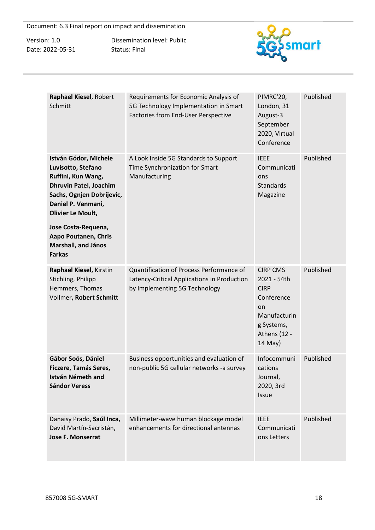Version: 1.0 Date: 2022-05-31 Dissemination level: Public Status: Final



| Raphael Kiesel, Robert<br>Schmitt                                                                                                                                                 | Requirements for Economic Analysis of<br>5G Technology Implementation in Smart<br>Factories from End-User Perspective    | PIMRC'20,<br>London, 31<br>August-3<br>September<br>2020, Virtual<br>Conference                                            | Published |
|-----------------------------------------------------------------------------------------------------------------------------------------------------------------------------------|--------------------------------------------------------------------------------------------------------------------------|----------------------------------------------------------------------------------------------------------------------------|-----------|
| István Gódor, Michele<br>Luvisotto, Stefano<br>Ruffini, Kun Wang,<br><b>Dhruvin Patel, Joachim</b><br>Sachs, Ognjen Dobrijevic,<br>Daniel P. Venmani,<br><b>Olivier Le Moult,</b> | A Look Inside 5G Standards to Support<br>Time Synchronization for Smart<br>Manufacturing                                 | <b>IEEE</b><br>Communicati<br>ons<br><b>Standards</b><br>Magazine                                                          | Published |
| Jose Costa-Requena,<br>Aapo Poutanen, Chris<br>Marshall, and János<br><b>Farkas</b>                                                                                               |                                                                                                                          |                                                                                                                            |           |
| Raphael Kiesel, Kirstin<br>Stichling, Philipp<br>Hemmers, Thomas<br>Vollmer, Robert Schmitt                                                                                       | Quantification of Process Performance of<br>Latency-Critical Applications in Production<br>by Implementing 5G Technology | <b>CIRP CMS</b><br>2021 - 54th<br><b>CIRP</b><br>Conference<br>on<br>Manufacturin<br>g Systems,<br>Athens (12 -<br>14 May) | Published |
| Gábor Soós, Dániel<br>Ficzere, Tamás Seres,<br><b>István Németh and</b><br><b>Sándor Veress</b>                                                                                   | Business opportunities and evaluation of<br>non-public 5G cellular networks -a survey                                    | Infocommuni<br>cations<br>Journal,<br>2020, 3rd<br><b>Issue</b>                                                            | Published |
| Danaisy Prado, Saúl Inca,<br>David Martín-Sacristán,<br>Jose F. Monserrat                                                                                                         | Millimeter-wave human blockage model<br>enhancements for directional antennas                                            | <b>IEEE</b><br>Communicati<br>ons Letters                                                                                  | Published |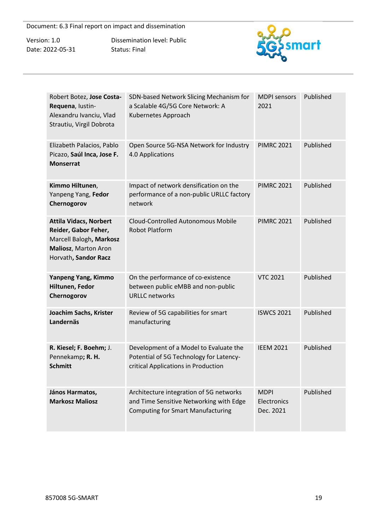| Version: 1.0     |
|------------------|
| Date: 2022-05-31 |

Dissemination level: Public Status: Final



| Robert Botez, Jose Costa-<br>Requena, lustin-<br>Alexandru Ivanciu, Vlad<br>Strautiu, Virgil Dobrota                             | SDN-based Network Slicing Mechanism for<br>a Scalable 4G/5G Core Network: A<br>Kubernetes Approach                             | <b>MDPI</b> sensors<br>2021             | Published |
|----------------------------------------------------------------------------------------------------------------------------------|--------------------------------------------------------------------------------------------------------------------------------|-----------------------------------------|-----------|
| Elizabeth Palacios, Pablo<br>Picazo, Saúl Inca, Jose F.<br><b>Monserrat</b>                                                      | Open Source 5G-NSA Network for Industry<br>4.0 Applications                                                                    | <b>PIMRC 2021</b>                       | Published |
| Kimmo Hiltunen,<br>Yanpeng Yang, Fedor<br>Chernogorov                                                                            | Impact of network densification on the<br>performance of a non-public URLLC factory<br>network                                 | <b>PIMRC 2021</b>                       | Published |
| <b>Attila Vidacs, Norbert</b><br>Reider, Gabor Feher,<br>Marcell Balogh, Markosz<br>Maliosz, Marton Aron<br>Horvath, Sandor Racz | <b>Cloud-Controlled Autonomous Mobile</b><br><b>Robot Platform</b>                                                             | <b>PIMRC 2021</b>                       | Published |
| Yanpeng Yang, Kimmo<br>Hiltunen, Fedor<br>Chernogorov                                                                            | On the performance of co-existence<br>between public eMBB and non-public<br><b>URLLC</b> networks                              | <b>VTC 2021</b>                         | Published |
| Joachim Sachs, Krister<br>Landernäs                                                                                              | Review of 5G capabilities for smart<br>manufacturing                                                                           | <b>ISWCS 2021</b>                       | Published |
| R. Kiesel; F. Boehm; J.<br>Pennekamp; R. H.<br><b>Schmitt</b>                                                                    | Development of a Model to Evaluate the<br>Potential of 5G Technology for Latency-<br>critical Applications in Production       | <b>IEEM 2021</b>                        | Published |
| János Harmatos,<br><b>Markosz Maliosz</b>                                                                                        | Architecture integration of 5G networks<br>and Time Sensitive Networking with Edge<br><b>Computing for Smart Manufacturing</b> | <b>MDPI</b><br>Electronics<br>Dec. 2021 | Published |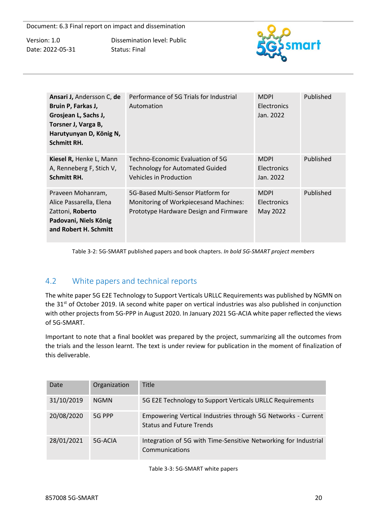Dissemination level: Public Status: Final



| Ansari J, Andersson C, de<br>Bruin P, Farkas J,<br>Grosjean L, Sachs J,<br>Torsner J, Varga B,<br>Harutyunyan D, König N,<br><b>Schmitt RH.</b> | Performance of 5G Trials for Industrial<br>Automation                                                                 | <b>MDPI</b><br><b>Electronics</b><br>Jan. 2022 | Published |
|-------------------------------------------------------------------------------------------------------------------------------------------------|-----------------------------------------------------------------------------------------------------------------------|------------------------------------------------|-----------|
| Kiesel R, Henke L, Mann<br>A, Renneberg F, Stich V,<br><b>Schmitt RH.</b>                                                                       | Techno-Economic Evaluation of 5G<br><b>Technology for Automated Guided</b><br>Vehicles in Production                  | <b>MDPI</b><br><b>Electronics</b><br>Jan. 2022 | Published |
| Praveen Mohanram,<br>Alice Passarella, Elena<br>Zattoni, Roberto<br>Padovani, Niels König<br>and Robert H. Schmitt                              | 5G-Based Multi-Sensor Platform for<br>Monitoring of Workpiecesand Machines:<br>Prototype Hardware Design and Firmware | <b>MDPI</b><br><b>Electronics</b><br>May 2022  | Published |

Table 3-2: 5G-SMART published papers and book chapters. *In bold 5G-SMART project members*

# <span id="page-20-0"></span>4.2 White papers and technical reports

The white paper 5G E2E Technology to Support Verticals URLLC Requirements was published by NGMN on the 31<sup>st</sup> of October 2019. IA second white paper on vertical industries was also published in conjunction with other projects from 5G-PPP in August 2020. In January 2021 5G-ACIA white paper reflected the views of 5G-SMART.

Important to note that a final booklet was prepared by the project, summarizing all the outcomes from the trials and the lesson learnt. The text is under review for publication in the moment of finalization of this deliverable.

| Date       | Organization | <b>Title</b>                                                                                    |
|------------|--------------|-------------------------------------------------------------------------------------------------|
| 31/10/2019 | <b>NGMN</b>  | 5G E2E Technology to Support Verticals URLLC Requirements                                       |
| 20/08/2020 | 5G PPP       | Empowering Vertical Industries through 5G Networks - Current<br><b>Status and Future Trends</b> |
| 28/01/2021 | 5G-ACIA      | Integration of 5G with Time-Sensitive Networking for Industrial<br>Communications               |

Table 3-3: 5G-SMART white papers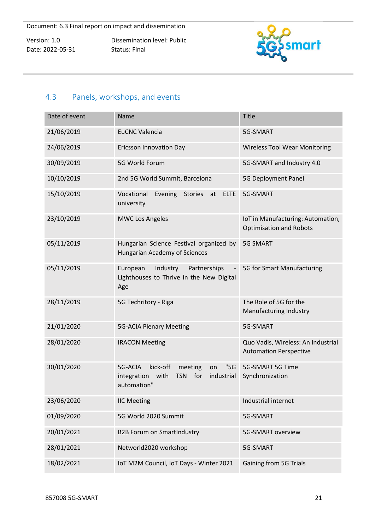Dissemination level: Public Status: Final



# <span id="page-21-0"></span>4.3 Panels, workshops, and events

| Date of event | Name                                                                                                                  | <b>Title</b>                                                        |
|---------------|-----------------------------------------------------------------------------------------------------------------------|---------------------------------------------------------------------|
| 21/06/2019    | <b>EuCNC Valencia</b>                                                                                                 | 5G-SMART                                                            |
| 24/06/2019    | <b>Ericsson Innovation Day</b>                                                                                        | <b>Wireless Tool Wear Monitoring</b>                                |
| 30/09/2019    | 5G World Forum                                                                                                        | 5G-SMART and Industry 4.0                                           |
| 10/10/2019    | 2nd 5G World Summit, Barcelona                                                                                        | 5G Deployment Panel                                                 |
| 15/10/2019    | Vocational<br>Evening<br><b>Stories</b><br><b>ELTE</b><br>at<br>university                                            | 5G-SMART                                                            |
| 23/10/2019    | <b>MWC Los Angeles</b>                                                                                                | IoT in Manufacturing: Automation,<br><b>Optimisation and Robots</b> |
| 05/11/2019    | Hungarian Science Festival organized by<br><b>Hungarian Academy of Sciences</b>                                       | <b>5G SMART</b>                                                     |
| 05/11/2019    | Industry<br>Partnerships<br>European<br>Lighthouses to Thrive in the New Digital<br>Age                               | 5G for Smart Manufacturing                                          |
| 28/11/2019    | 5G Techritory - Riga                                                                                                  | The Role of 5G for the<br>Manufacturing Industry                    |
| 21/01/2020    | <b>5G-ACIA Plenary Meeting</b>                                                                                        | 5G-SMART                                                            |
| 28/01/2020    | <b>IRACON Meeting</b>                                                                                                 | Quo Vadis, Wireless: An Industrial<br><b>Automation Perspective</b> |
| 30/01/2020    | 5G-ACIA<br>kick-off<br>"5G"<br>meeting<br>on<br>for<br>with<br><b>TSN</b><br>industrial<br>integration<br>automation" | 5G-SMART 5G Time<br>Synchronization                                 |
| 23/06/2020    | <b>IIC Meeting</b>                                                                                                    | Industrial internet                                                 |
| 01/09/2020    | 5G World 2020 Summit                                                                                                  | 5G-SMART                                                            |
| 20/01/2021    | <b>B2B Forum on SmartIndustry</b>                                                                                     | <b>5G-SMART overview</b>                                            |
| 28/01/2021    | Networld2020 workshop                                                                                                 | 5G-SMART                                                            |
| 18/02/2021    | IoT M2M Council, IoT Days - Winter 2021                                                                               | <b>Gaining from 5G Trials</b>                                       |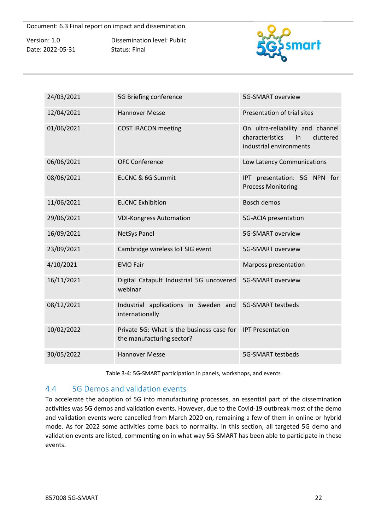Dissemination level: Public Status: Final



| 24/03/2021 | 5G Briefing conference                                                 | 5G-SMART overview                                                                                 |
|------------|------------------------------------------------------------------------|---------------------------------------------------------------------------------------------------|
| 12/04/2021 | <b>Hannover Messe</b>                                                  | Presentation of trial sites                                                                       |
| 01/06/2021 | <b>COST IRACON meeting</b>                                             | On ultra-reliability and channel<br>characteristics<br>cluttered<br>in<br>industrial environments |
| 06/06/2021 | <b>OFC Conference</b>                                                  | Low Latency Communications                                                                        |
| 08/06/2021 | EuCNC & 6G Summit                                                      | IPT presentation: 5G NPN for<br><b>Process Monitoring</b>                                         |
| 11/06/2021 | <b>EuCNC Exhibition</b>                                                | <b>Bosch demos</b>                                                                                |
| 29/06/2021 | <b>VDI-Kongress Automation</b>                                         | 5G-ACIA presentation                                                                              |
| 16/09/2021 | <b>NetSys Panel</b>                                                    | <b>5G-SMART overview</b>                                                                          |
| 23/09/2021 | Cambridge wireless IoT SIG event                                       | 5G-SMART overview                                                                                 |
| 4/10/2021  | <b>EMO Fair</b>                                                        | Marposs presentation                                                                              |
| 16/11/2021 | Digital Catapult Industrial 5G uncovered<br>webinar                    | <b>5G-SMART overview</b>                                                                          |
| 08/12/2021 | Industrial applications in Sweden and<br>internationally               | 5G-SMART testbeds                                                                                 |
| 10/02/2022 | Private 5G: What is the business case for<br>the manufacturing sector? | <b>IPT Presentation</b>                                                                           |
| 30/05/2022 | <b>Hannover Messe</b>                                                  | <b>5G-SMART testbeds</b>                                                                          |

Table 3-4: 5G-SMART participation in panels, workshops, and events

## <span id="page-22-0"></span>4.4 5G Demos and validation events

To accelerate the adoption of 5G into manufacturing processes, an essential part of the dissemination activities was 5G demos and validation events. However, due to the Covid-19 outbreak most of the demo and validation events were cancelled from March 2020 on, remaining a few of them in online or hybrid mode. As for 2022 some activities come back to normality. In this section, all targeted 5G demo and validation events are listed, commenting on in what way 5G-SMART has been able to participate in these events.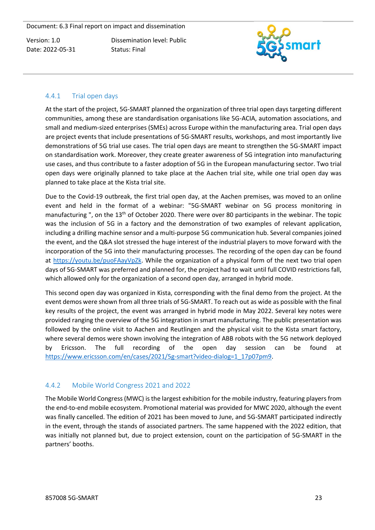Dissemination level: Public Status: Final



#### <span id="page-23-0"></span>4.4.1 Trial open days

At the start of the project, 5G-SMART planned the organization of three trial open days targeting different communities, among these are standardisation organisations like 5G-ACIA, automation associations, and small and medium-sized enterprises (SMEs) across Europe within the manufacturing area. Trial open days are project events that include presentations of 5G-SMART results, workshops, and most importantly live demonstrations of 5G trial use cases. The trial open days are meant to strengthen the 5G-SMART impact on standardisation work. Moreover, they create greater awareness of 5G integration into manufacturing use cases, and thus contribute to a faster adoption of 5G in the European manufacturing sector. Two trial open days were originally planned to take place at the Aachen trial site, while one trial open day was planned to take place at the Kista trial site.

Due to the Covid-19 outbreak, the first trial open day, at the Aachen premises, was moved to an online event and held in the format of a webinar: "5G-SMART webinar on 5G process monitoring in manufacturing ", on the 13<sup>th</sup> of October 2020. There were over 80 participants in the webinar. The topic was the inclusion of 5G in a factory and the demonstration of two examples of relevant application, including a drilling machine sensor and a multi-purpose 5G communication hub. Several companies joined the event, and the Q&A slot stressed the huge interest of the industrial players to move forward with the incorporation of the 5G into their manufacturing processes. The recording of the open day can be found at [https://youtu.be/puoFAayVpZk.](https://youtu.be/puoFAayVpZk) While the organization of a physical form of the next two trial open days of 5G-SMART was preferred and planned for, the project had to wait until full COVID restrictions fall, which allowed only for the organization of a second open day, arranged in hybrid mode.

This second open day was organized in Kista, corresponding with the final demo from the project. At the event demos were shown from all three trials of 5G-SMART. To reach out as wide as possible with the final key results of the project, the event was arranged in hybrid mode in May 2022. Several key notes were provided ranging the overview of the 5G integration in smart manufacturing. The public presentation was followed by the online visit to Aachen and Reutlingen and the physical visit to the Kista smart factory, where several demos were shown involving the integration of ABB robots with the 5G network deployed by Ericsson. The full recording of the open day session can be found at [https://www.ericsson.com/en/cases/2021/5g-smart?video-dialog=1\\_17p07pm9.](https://www.ericsson.com/en/cases/2021/5g-smart?video-dialog=1_17p07pm9)

## <span id="page-23-1"></span>4.4.2 Mobile World Congress 2021 and 2022

The Mobile World Congress (MWC) is the largest exhibition for the mobile industry, featuring players from the end-to-end mobile ecosystem. Promotional material was provided for MWC 2020, although the event was finally cancelled. The edition of 2021 has been moved to June, and 5G-SMART participated indirectly in the event, through the stands of associated partners. The same happened with the 2022 edition, that was initially not planned but, due to project extension, count on the participation of 5G-SMART in the partners' booths.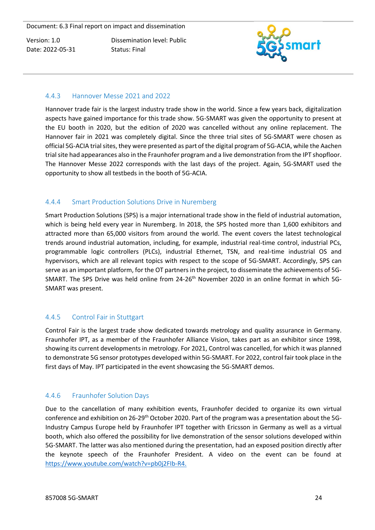Dissemination level: Public Status: Final



#### <span id="page-24-0"></span>4.4.3 Hannover Messe 2021 and 2022

Hannover trade fair is the largest industry trade show in the world. Since a few years back, digitalization aspects have gained importance for this trade show. 5G-SMART was given the opportunity to present at the EU booth in 2020, but the edition of 2020 was cancelled without any online replacement. The Hannover fair in 2021 was completely digital. Since the three trial sites of 5G-SMART were chosen as official 5G-ACIA trial sites, they were presented as part of the digital program of 5G-ACIA, while the Aachen trial site had appearances also in the Fraunhofer program and a live demonstration from the IPT shopfloor. The Hannover Messe 2022 corresponds with the last days of the project. Again, 5G-SMART used the opportunity to show all testbeds in the booth of 5G-ACIA.

#### <span id="page-24-1"></span>4.4.4 Smart Production Solutions Drive in Nuremberg

Smart Production Solutions (SPS) is a major international trade show in the field of industrial automation, which is being held every year in Nuremberg. In 2018, the SPS hosted more than 1,600 exhibitors and attracted more than 65,000 visitors from around the world. The event covers the latest technological trends around industrial automation, including, for example, industrial real-time control, industrial PCs, programmable logic controllers (PLCs), industrial Ethernet, TSN, and real-time industrial OS and hypervisors, which are all relevant topics with respect to the scope of 5G-SMART. Accordingly, SPS can serve as an important platform, for the OT partners in the project, to disseminate the achievements of 5G-SMART. The SPS Drive was held online from 24-26<sup>th</sup> November 2020 in an online format in which 5G-SMART was present.

## <span id="page-24-2"></span>4.4.5 Control Fair in Stuttgart

Control Fair is the largest trade show dedicated towards metrology and quality assurance in Germany. Fraunhofer IPT, as a member of the Fraunhofer Alliance Vision, takes part as an exhibitor since 1998, showing its current developments in metrology. For 2021, Control was cancelled, for which it was planned to demonstrate 5G sensor prototypes developed within 5G-SMART. For 2022, control fair took place in the first days of May. IPT participated in the event showcasing the 5G-SMART demos.

#### <span id="page-24-3"></span>4.4.6 Fraunhofer Solution Days

Due to the cancellation of many exhibition events, Fraunhofer decided to organize its own virtual conference and exhibition on 26-29th October 2020. Part of the program was a presentation about the 5G-Industry Campus Europe held by Fraunhofer IPT together with Ericsson in Germany as well as a virtual booth, which also offered the possibility for live demonstration of the sensor solutions developed within 5G-SMART. The latter was also mentioned during the presentation, had an exposed position directly after the keynote speech of the Fraunhofer President. A video on the event can be found at [https://www.youtube.com/watch?v=pb0j2FIb-R4.](https://www.youtube.com/watch?v=pb0j2FIb-R4)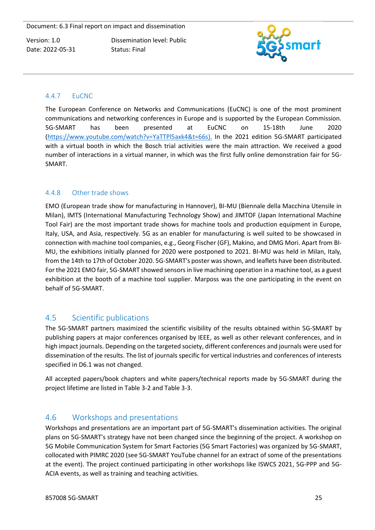Dissemination level: Public Status: Final



#### <span id="page-25-0"></span>4.4.7 EuCNC

The European Conference on Networks and Communications (EuCNC) is one of the most prominent communications and networking conferences in Europe and is supported by the European Commission. 5G-SMART has been presented at EuCNC on 15-18th June 2020 [\(https://www.youtube.com/watch?v=YaTTPl5axk4&t=66s\)](https://meet.google.com/linkredirect?authuser=0&dest=https%3A%2F%2Fwww.youtube.com%2Fwatch%3Fv%3DYaTTPl5axk4%26t%3D66s). In the 2021 edition 5G-SMART participated with a virtual booth in which the Bosch trial activities were the main attraction. We received a good number of interactions in a virtual manner, in which was the first fully online demonstration fair for 5G-SMART.

#### <span id="page-25-1"></span>4.4.8 Other trade shows

EMO (European trade show for manufacturing in Hannover), BI-MU (Biennale della Macchina Utensile in Milan), IMTS (International Manufacturing Technology Show) and JIMTOF (Japan International Machine Tool Fair) are the most important trade shows for machine tools and production equipment in Europe, Italy, USA, and Asia, respectively. 5G as an enabler for manufacturing is well suited to be showcased in connection with machine tool companies, e.g., Georg Fischer (GF), Makino, and DMG Mori. Apart from BI-MU, the exhibitions initially planned for 2020 were postponed to 2021. BI-MU was held in Milan, Italy, from the 14th to 17th of October 2020. 5G-SMART's poster was shown, and leaflets have been distributed. For the 2021 EMO fair, 5G-SMART showed sensors in live machining operation in a machine tool, as a guest exhibition at the booth of a machine tool supplier. Marposs was the one participating in the event on behalf of 5G-SMART.

# <span id="page-25-2"></span>4.5 Scientific publications

The 5G-SMART partners maximized the scientific visibility of the results obtained within 5G-SMART by publishing papers at major conferences organised by IEEE, as well as other relevant conferences, and in high impact journals. Depending on the targeted society, different conferences and journals were used for dissemination of the results. The list of journals specific for vertical industries and conferences of interests specified in D6.1 was not changed.

All accepted papers/book chapters and white papers/technical reports made by 5G-SMART during the project lifetime are listed in Table 3-2 and Table 3-3.

# <span id="page-25-3"></span>4.6 Workshops and presentations

Workshops and presentations are an important part of 5G-SMART's dissemination activities. The original plans on 5G-SMART's strategy have not been changed since the beginning of the project. A workshop on 5G Mobile Communication System for Smart Factories (5G Smart Factories) was organized by 5G-SMART, collocated with PIMRC 2020 (see 5G-SMART YouTube channel for an extract of some of the presentations at the event). The project continued participating in other workshops like ISWCS 2021, 5G-PPP and 5G-ACIA events, as well as training and teaching activities.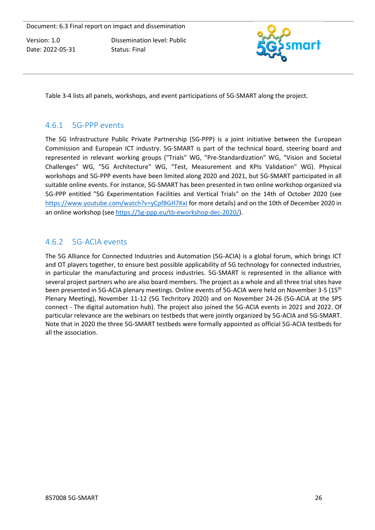Dissemination level: Public Status: Final



Table 3-4 lists all panels, workshops, and event participations of 5G-SMART along the project.

# <span id="page-26-0"></span>4.6.1 5G-PPP events

The 5G Infrastructure Public Private Partnership (5G-PPP) is a joint initiative between the European Commission and European ICT industry. 5G-SMART is part of the technical board, steering board and represented in relevant working groups ("Trials" WG, "Pre-Standardization" WG, "Vision and Societal Challenges" WG, "5G Architecture" WG, "Test, Measurement and KPIs Validation" WG). Physical workshops and 5G-PPP events have been limited along 2020 and 2021, but 5G-SMART participated in all suitable online events. For instance, 5G-SMART has been presented in two online workshop organized via 5G-PPP entitled "5G Experimentation Facilities and Vertical Trials" on the 14th of October 2020 (see <https://www.youtube.com/watch?v=yCpf8GH7KxI> for more details) and on the 10th of December 2020 in an online workshop (se[e https://5g-ppp.eu/tb-eworkshop-dec-2020/\)](https://5g-ppp.eu/tb-eworkshop-dec-2020/).

# <span id="page-26-1"></span>4.6.2 5G-ACIA events

The 5G Alliance for Connected Industries and Automation (5G-ACIA) is a global forum, which brings ICT and OT players together, to ensure best possible applicability of 5G technology for connected industries, in particular the manufacturing and process industries. 5G-SMART is represented in the alliance with several project partners who are also board members. The project as a whole and all three trial sites have been presented in 5G-ACIA plenary meetings. Online events of 5G-ACIA were held on November 3-5 (15<sup>th</sup> Plenary Meeting), November 11-12 (5G Techritory 2020) and on November 24-26 (5G-ACIA at the SPS connect - The digital automation hub). The project also joined the 5G-ACIA events in 2021 and 2022. Of particular relevance are the webinars on testbeds that were jointly organized by 5G-ACIA and 5G-SMART. Note that in 2020 the three 5G-SMART testbeds were formally appointed as official 5G-ACIA testbeds for all the association.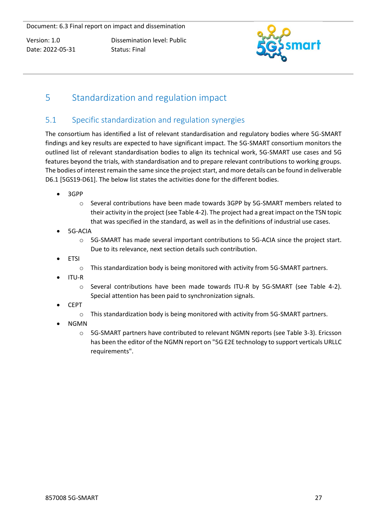Dissemination level: Public Status: Final



# <span id="page-27-0"></span>5 Standardization and regulation impact

# <span id="page-27-1"></span>5.1 Specific standardization and regulation synergies

The consortium has identified a list of relevant standardisation and regulatory bodies where 5G-SMART findings and key results are expected to have significant impact. The 5G-SMART consortium monitors the outlined list of relevant standardisation bodies to align its technical work, 5G-SMART use cases and 5G features beyond the trials, with standardisation and to prepare relevant contributions to working groups. The bodies of interest remain the same since the project start, and more details can be found in deliverable D6.1 [5GS19-D61]. The below list states the activities done for the different bodies.

- 3GPP
	- o Several contributions have been made towards 3GPP by 5G-SMART members related to their activity in the project (see Table 4-2). The project had a great impact on the TSN topic that was specified in the standard, as well as in the definitions of industrial use cases.
- 5G-ACIA
	- o 5G-SMART has made several important contributions to 5G-ACIA since the project start. Due to its relevance, next section details such contribution.
- **ETSI** 
	- o This standardization body is being monitored with activity from 5G-SMART partners.
- ITU-R
	- o Several contributions have been made towards ITU-R by 5G-SMART (see Table 4-2). Special attention has been paid to synchronization signals.
- CEPT
	- o This standardization body is being monitored with activity from 5G-SMART partners.
- NGMN
	- o 5G-SMART partners have contributed to relevant NGMN reports (see Table 3-3). Ericsson has been the editor of the NGMN report on "5G E2E technology to support verticals URLLC requirements".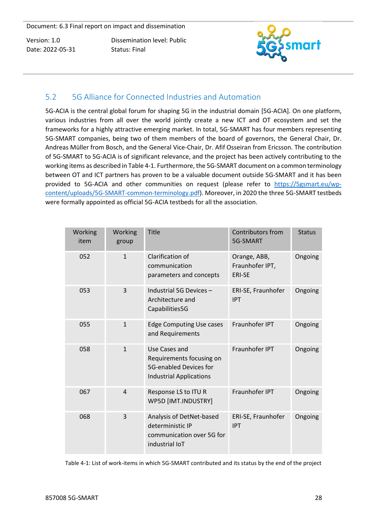Dissemination level: Public Status: Final



# <span id="page-28-0"></span>5.2 5G Alliance for Connected Industries and Automation

5G-ACIA is the central global forum for shaping 5G in the industrial domain [5G-ACIA]. On one platform, various industries from all over the world jointly create a new ICT and OT ecosystem and set the frameworks for a highly attractive emerging market. In total, 5G-SMART has four members representing 5G-SMART companies, being two of them members of the board of governors, the General Chair, Dr. Andreas Müller from Bosch, and the General Vice-Chair, Dr. Afif Osseiran from Ericsson. The contribution of 5G-SMART to 5G-ACIA is of significant relevance, and the project has been actively contributing to the working items as described in Table 4-1. Furthermore, the 5G-SMART document on a common terminology between OT and ICT partners has proven to be a valuable document outside 5G-SMART and it has been provided to 5G-ACIA and other communities on request (please refer to [https://5gsmart.eu/wp](https://5gsmart.eu/wp-content/uploads/5G-SMART-common-terminology.pdf)[content/uploads/5G-SMART-common-terminology.pdf\)](https://5gsmart.eu/wp-content/uploads/5G-SMART-common-terminology.pdf). Moreover, in 2020 the three 5G-SMART testbeds were formally appointed as official 5G-ACIA testbeds for all the association.

| Working<br>item | Working<br>group | <b>Title</b>                                                                                          | Contributors from<br>5G-SMART                    | <b>Status</b> |
|-----------------|------------------|-------------------------------------------------------------------------------------------------------|--------------------------------------------------|---------------|
| 052             | $\mathbf{1}$     | Clarification of<br>communication<br>parameters and concepts                                          | Orange, ABB,<br>Fraunhofer IPT,<br><b>ERI-SE</b> | Ongoing       |
| 053             | 3                | Industrial 5G Devices -<br>Architecture and<br>Capabilities5G                                         | ERI-SE, Fraunhofer<br><b>IPT</b>                 | Ongoing       |
| 055             | $\mathbf{1}$     | <b>Edge Computing Use cases</b><br>and Requirements                                                   | Fraunhofer IPT                                   | Ongoing       |
| 058             | $\mathbf{1}$     | Use Cases and<br>Requirements focusing on<br>5G-enabled Devices for<br><b>Industrial Applications</b> | Fraunhofer IPT                                   | Ongoing       |
| 067             | $\overline{4}$   | Response LS to ITU R<br>WP5D [IMT.INDUSTRY]                                                           | Fraunhofer IPT                                   | Ongoing       |
| 068             | 3                | Analysis of DetNet-based<br>deterministic IP<br>communication over 5G for<br>industrial IoT           | ERI-SE, Fraunhofer<br><b>IPT</b>                 | Ongoing       |

Table 4-1: List of work-items in which 5G-SMART contributed and its status by the end of the project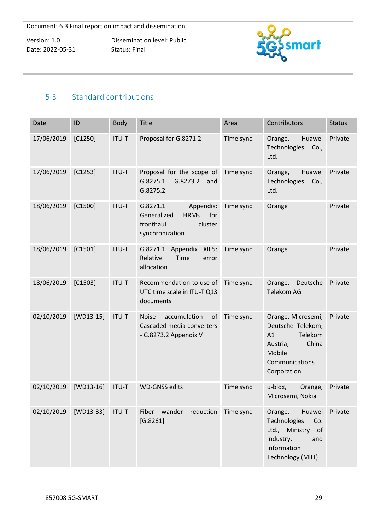Dissemination level: Public Status: Final



# <span id="page-29-0"></span>5.3 Standard contributions

| Date       | ID          | Body  | Title                                                                                                 | Area                | Contributors                                                                                                             | <b>Status</b> |
|------------|-------------|-------|-------------------------------------------------------------------------------------------------------|---------------------|--------------------------------------------------------------------------------------------------------------------------|---------------|
| 17/06/2019 | $[C1250]$   | ITU-T | Proposal for G.8271.2                                                                                 | Time sync           | Huawei<br>Orange,<br>Technologies<br>Co.,<br>Ltd.                                                                        | Private       |
| 17/06/2019 | $[C1253]$   | ITU-T | Proposal for the scope of<br>G.8273.2<br>G.8275.1,<br>and<br>G.8275.2                                 | Time sync           | Huawei<br>Orange,<br>Technologies<br>Co.,<br>Ltd.                                                                        | Private       |
| 18/06/2019 | $[C1500]$   | ITU-T | G.8271.1<br>Appendix:<br><b>HRMs</b><br>for<br>Generalized<br>fronthaul<br>cluster<br>synchronization | Time sync           | Orange                                                                                                                   | Private       |
| 18/06/2019 | $[C1501]$   | ITU-T | G.8271.1 Appendix<br>XII.5:<br>Relative<br>Time<br>error<br>allocation                                | Time sync           | Orange                                                                                                                   | Private       |
| 18/06/2019 | $[C1503]$   | ITU-T | Recommendation to use of<br>UTC time scale in ITU-T Q13<br>documents                                  | Time sync           | Orange,<br>Deutsche<br><b>Telekom AG</b>                                                                                 | Private       |
| 02/10/2019 | $[WD13-15]$ | ITU-T | accumulation<br><b>Noise</b><br>of<br>Cascaded media converters<br>- G.8273.2 Appendix V              | Time sync           | Orange, Microsemi,<br>Deutsche Telekom,<br>Telekom<br>A1<br>China<br>Austria,<br>Mobile<br>Communications<br>Corporation | Private       |
| 02/10/2019 | $[WD13-16]$ | ITU-T | <b>WD-GNSS edits</b>                                                                                  | Time sync           | u-blox,<br>Orange,<br>Microsemi, Nokia                                                                                   | Private       |
| 02/10/2019 | [WD13-33]   | ITU-T | wander<br>Fiber<br>[G.8261]                                                                           | reduction Time sync | Huawei<br>Orange,<br>Technologies<br>Co.<br>Ltd., Ministry of<br>Industry,<br>and<br>Information<br>Technology (MIIT)    | Private       |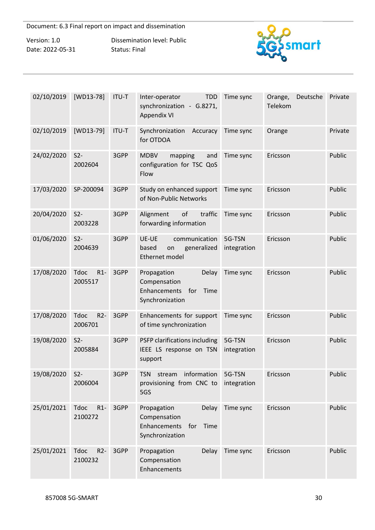Version: 1.0 Date: 2022-05-31 Dissemination level: Public Status: Final



| 02/10/2019 | $[WD13-78]$                     | ITU-T | Inter-operator<br><b>TDD</b><br>synchronization - G.8271,<br><b>Appendix VI</b>               | Time sync             | Orange,<br>Deutsche<br>Telekom | Private |
|------------|---------------------------------|-------|-----------------------------------------------------------------------------------------------|-----------------------|--------------------------------|---------|
| 02/10/2019 | $[WD13-79]$                     | ITU-T | Synchronization<br>Accuracy<br>for OTDOA                                                      | Time sync             | Orange                         | Private |
| 24/02/2020 | S <sub>2</sub><br>2002604       | 3GPP  | <b>MDBV</b><br>mapping<br>and<br>configuration for TSC QoS<br>Flow                            | Time sync             | Ericsson                       | Public  |
| 17/03/2020 | SP-200094                       | 3GPP  | Study on enhanced support<br>of Non-Public Networks                                           | Time sync             | Ericsson                       | Public  |
| 20/04/2020 | $S2-$<br>2003228                | 3GPP  | of<br>traffic<br>Alignment<br>forwarding information                                          | Time sync             | Ericsson                       | Public  |
| 01/06/2020 | $S2-$<br>2004639                | 3GPP  | UE-UE<br>communication<br>generalized<br>based<br>on<br>Ethernet model                        | 5G-TSN<br>integration | Ericsson                       | Public  |
| 17/08/2020 | $R1-$<br><b>Tdoc</b><br>2005517 | 3GPP  | Propagation<br>Delay<br>Compensation<br>Enhancements<br>for<br>Time<br>Synchronization        | Time sync             | Ericsson                       | Public  |
| 17/08/2020 | $R2-$<br><b>Tdoc</b><br>2006701 | 3GPP  | Enhancements for support<br>of time synchronization                                           | Time sync             | Ericsson                       | Public  |
| 19/08/2020 | S <sub>2</sub><br>2005884       | 3GPP  | PSFP clarifications including<br>IEEE LS response on TSN<br>support                           | 5G-TSN<br>integration | Ericsson                       | Public  |
| 19/08/2020 | $S2-$<br>2006004                | 3GPP  | information<br>TSN<br>stream<br>provisioning from CNC to integration<br>5GS                   | 5G-TSN                | Ericsson                       | Public  |
| 25/01/2021 | <b>Tdoc</b><br>$R1-$<br>2100272 | 3GPP  | Propagation<br><b>Delay</b><br>Compensation<br>Enhancements<br>for<br>Time<br>Synchronization | Time sync             | Ericsson                       | Public  |
| 25/01/2021 | <b>Tdoc</b><br>$R2-$<br>2100232 | 3GPP  | Propagation<br>Delay<br>Compensation<br>Enhancements                                          | Time sync             | Ericsson                       | Public  |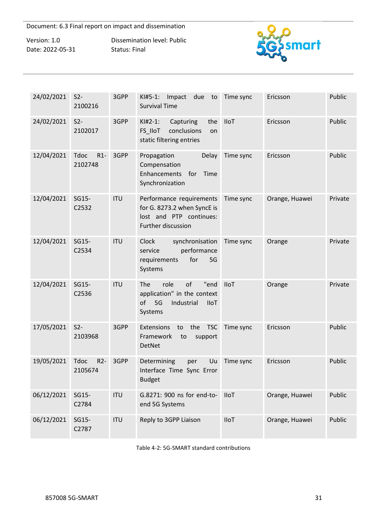Version: 1.0 Date: 2022-05-31 Dissemination level: Public Status: Final



| 24/02/2021 | S <sub>2</sub><br>2100216       | 3GPP       | $KI#5-1$ :<br>Impact<br>due<br>to<br><b>Survival Time</b>                                                    | Time sync   | Ericsson       | Public  |
|------------|---------------------------------|------------|--------------------------------------------------------------------------------------------------------------|-------------|----------------|---------|
| 24/02/2021 | $S2-$<br>2102017                | 3GPP       | $KI#2-1$ :<br>Capturing<br>the<br>FS_IIoT<br>conclusions<br>on<br>static filtering entries                   | <b>IIoT</b> | Ericsson       | Public  |
| 12/04/2021 | $R1-$<br><b>Tdoc</b><br>2102748 | 3GPP       | Propagation<br>Delay<br>Compensation<br>Enhancements<br>for<br>Time<br>Synchronization                       | Time sync   | Ericsson       | Public  |
| 12/04/2021 | SG15-<br>C2532                  | <b>ITU</b> | Performance requirements<br>for G. 8273.2 when SyncE is<br>lost and PTP continues:<br>Further discussion     | Time sync   | Orange, Huawei | Private |
| 12/04/2021 | SG15-<br>C2534                  | <b>ITU</b> | synchronisation<br>Clock<br>performance<br>service<br>for<br>5G<br>requirements<br>Systems                   | Time sync   | Orange         | Private |
| 12/04/2021 | SG15-<br>C2536                  | <b>ITU</b> | role<br>of<br>The<br>"end<br>application" in the context<br>of<br>5G<br>Industrial<br><b>IIoT</b><br>Systems | <b>IIoT</b> | Orange         | Private |
| 17/05/2021 | S <sub>2</sub><br>2103968       | 3GPP       | Extensions<br>the<br><b>TSC</b><br>to<br>Framework<br>to<br>support<br>DetNet                                | Time sync   | Ericsson       | Public  |
| 19/05/2021 | $R2-$<br><b>Tdoc</b><br>2105674 | 3GPP       | Determining<br>Uu<br>per<br>Interface Time Sync Error<br><b>Budget</b>                                       | Time sync   | Ericsson       | Public  |
| 06/12/2021 | SG15-<br>C2784                  | <b>ITU</b> | G.8271: 900 ns for end-to-<br>end 5G Systems                                                                 | <b>IIoT</b> | Orange, Huawei | Public  |
| 06/12/2021 | SG15-<br>C2787                  | <b>ITU</b> | Reply to 3GPP Liaison                                                                                        | IIoT        | Orange, Huawei | Public  |

Table 4-2: 5G-SMART standard contributions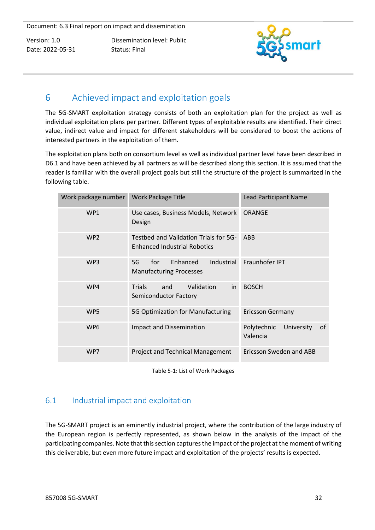Dissemination level: Public Status: Final



# <span id="page-32-0"></span>6 Achieved impact and exploitation goals

The 5G-SMART exploitation strategy consists of both an exploitation plan for the project as well as individual exploitation plans per partner. Different types of exploitable results are identified. Their direct value, indirect value and impact for different stakeholders will be considered to boost the actions of interested partners in the exploitation of them.

The exploitation plans both on consortium level as well as individual partner level have been described in D6.1 and have been achieved by all partners as will be described along this section. It is assumed that the reader is familiar with the overall project goals but still the structure of the project is summarized in the following table.

| Work package number | <b>Work Package Title</b>                                                    | <b>Lead Participant Name</b>                |  |
|---------------------|------------------------------------------------------------------------------|---------------------------------------------|--|
| WP1                 | Use cases, Business Models, Network<br>Design                                | <b>ORANGE</b>                               |  |
| WP <sub>2</sub>     | Testbed and Validation Trials for 5G-<br><b>Enhanced Industrial Robotics</b> | ABB                                         |  |
| WP <sub>3</sub>     | Enhanced<br><b>Industrial</b><br>for<br>5G<br><b>Manufacturing Processes</b> | Fraunhofer IPT                              |  |
| WP4                 | Validation<br><b>Trials</b><br>and<br>in<br>Semiconductor Factory            | <b>BOSCH</b>                                |  |
| WP <sub>5</sub>     | 5G Optimization for Manufacturing                                            | <b>Ericsson Germany</b>                     |  |
| WP <sub>6</sub>     | <b>Impact and Dissemination</b>                                              | Polytechnic<br>University<br>οf<br>Valencia |  |
| WP7                 | Project and Technical Management                                             | Ericsson Sweden and ABB                     |  |

Table 5-1: List of Work Packages

# <span id="page-32-1"></span>6.1 Industrial impact and exploitation

The 5G-SMART project is an eminently industrial project, where the contribution of the large industry of the European region is perfectly represented, as shown below in the analysis of the impact of the participating companies. Note that this section captures the impact of the project at the moment of writing this deliverable, but even more future impact and exploitation of the projects' results is expected.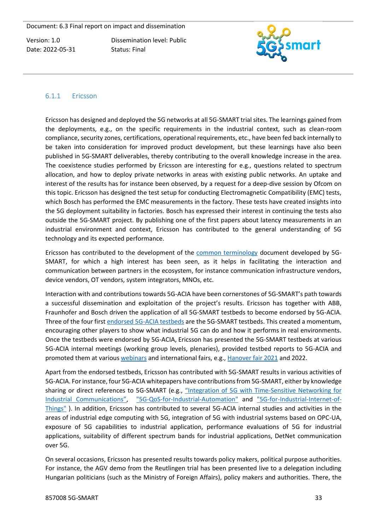Dissemination level: Public Status: Final



#### <span id="page-33-0"></span>6.1.1 Ericsson

Ericsson has designed and deployed the 5G networks at all 5G-SMART trial sites. The learnings gained from the deployments, e.g., on the specific requirements in the industrial context, such as clean-room compliance, security zones, certifications, operational requirements, etc., have been fed back internally to be taken into consideration for improved product development, but these learnings have also been published in 5G-SMART deliverables, thereby contributing to the overall knowledge increase in the area. The coexistence studies performed by Ericsson are interesting for e.g., questions related to spectrum allocation, and how to deploy private networks in areas with existing public networks. An uptake and interest of the results has for instance been observed, by a request for a deep-dive session by Ofcom on this topic. Ericsson has designed the test setup for conducting Electromagnetic Compatibility (EMC) tests, which Bosch has performed the EMC measurements in the factory. These tests have created insights into the 5G deployment suitability in factories. Bosch has expressed their interest in continuing the tests also outside the 5G-SMART project. By publishing one of the first papers about latency measurements in an industrial environment and context, Ericsson has contributed to the general understanding of 5G technology and its expected performance.

Ericsson has contributed to the development of the [common terminology](https://5gsmart.eu/wp-content/uploads/5G-SMART-common-terminology.pdf) document developed by 5G-SMART, for which a high interest has been seen, as it helps in facilitating the interaction and communication between partners in the ecosystem, for instance communication infrastructure vendors, device vendors, OT vendors, system integrators, MNOs, etc.

Interaction with and contributions towards 5G-ACIA have been cornerstones of 5G-SMART's path towards a successful dissemination and exploitation of the project's results. Ericsson has together with ABB, Fraunhofer and Bosch driven the application of all 5G-SMART testbeds to become endorsed by 5G-ACIA. Three of the four first [endorsed 5G-ACIA testbeds](https://5g-acia.org/insight/endorsed-testbeds/) are the 5G-SMART testbeds. This created a momentum, encouraging other players to show what industrial 5G can do and how it performs in real environments. Once the testbeds were endorsed by 5G-ACIA, Ericsson has presented the 5G-SMART testbeds at various 5G-ACIA internal meetings (working group levels, plenaries), provided testbed reports to 5G-ACIA and promoted them at various [webinars](https://5g-acia.org/events/webinars-3/) and international fairs, e.g., [Hanover fair 2021](https://5g-acia.org/events/5g-acia-hannover-messe-digital-conference/) and 2022.

Apart from the endorsed testbeds, Ericsson has contributed with 5G-SMART results in various activities of 5G-ACIA. For instance, four 5G-ACIA whitepapers have contributions from 5G-SMART, either by knowledge sharing or direct references to 5G-SMART (e.g., ["Integration of 5G with Time](https://5g-acia.org/whitepapers/integration-of-5g-with-time-sensitive-networking-for-industrial-communications/)-Sensitive Networking for [Industrial Communications"](https://5g-acia.org/whitepapers/integration-of-5g-with-time-sensitive-networking-for-industrial-communications/), ["5G-QoS-for-Industrial-Automation"](file:///C:/Users/egrolee/Downloads/_5G%20ACIA%20Whitepaper_%205G-QoS-for-Industrial-Automation_%20(1).pdf) and ["5G-for-Industrial-Internet-of-](file:///C:/Users/egrolee/Downloads/_Whitepaper_5G-ACIA_5G-for-Industrial-Internet-of-Things_%20(1).pdf)[Things"](file:///C:/Users/egrolee/Downloads/_Whitepaper_5G-ACIA_5G-for-Industrial-Internet-of-Things_%20(1).pdf) ). In addition, Ericsson has contributed to several 5G-ACIA internal studies and activities in the areas of industrial edge computing with 5G, integration of 5G with industrial systems based on OPC-UA, exposure of 5G capabilities to industrial application, performance evaluations of 5G for industrial applications, suitability of different spectrum bands for industrial applications, DetNet communication over 5G.

On several occasions, Ericsson has presented results towards policy makers, political purpose authorities. For instance, the AGV demo from the Reutlingen trial has been presented live to a delegation including Hungarian politicians (such as the Ministry of Foreign Affairs), policy makers and authorities. There, the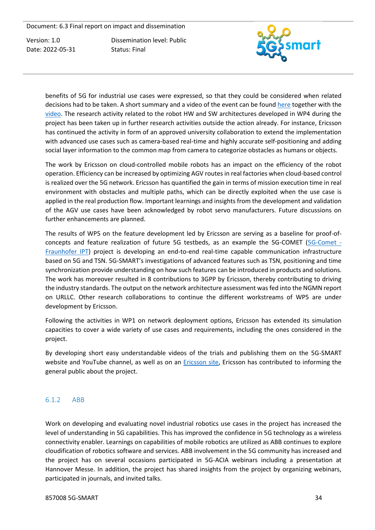Dissemination level: Public Status: Final



benefits of 5G for industrial use cases were expressed, so that they could be considered when related decisions had to be taken. A short summary and a video of the event can be found [here](https://hungarytoday.hu/ericsson-hungary-r-and-d/) together with the [video.](https://www.facebook.com/watch/?v=2634007560233129) The research activity related to the robot HW and SW architectures developed in WP4 during the project has been taken up in further research activities outside the action already. For instance, Ericsson has continued the activity in form of an approved university collaboration to extend the implementation with advanced use cases such as camera-based real-time and highly accurate self-positioning and adding social layer information to the common map from camera to categorize obstacles as humans or objects.

The work by Ericsson on cloud-controlled mobile robots has an impact on the efficiency of the robot operation. Efficiency can be increased by optimizing AGV routes in real factories when cloud-based control is realized over the 5G network. Ericsson has quantified the gain in terms of mission execution time in real environment with obstacles and multiple paths, which can be directly exploited when the use case is applied in the real production flow. Important learnings and insights from the development and validation of the AGV use cases have been acknowledged by robot servo manufacturers. Future discussions on further enhancements are planned.

The results of WP5 on the feature development led by Ericsson are serving as a baseline for proof-ofconcepts and feature realization of future 5G testbeds, as an example the 5G-COMET [\(5G-Comet -](https://www.ipt.fraunhofer.de/en/projects/5gcomet.html) [Fraunhofer IPT\)](https://www.ipt.fraunhofer.de/en/projects/5gcomet.html) project is developing an end-to-end real-time capable communication infrastructure based on 5G and TSN. 5G-SMART's investigations of advanced features such as TSN, positioning and time synchronization provide understanding on how such features can be introduced in products and solutions. The work has moreover resulted in 8 contributions to 3GPP by Ericsson, thereby contributing to driving the industry standards. The output on the network architecture assessment was fed into the NGMN report on URLLC. Other research collaborations to continue the different workstreams of WP5 are under development by Ericsson.

Following the activities in WP1 on network deployment options, Ericsson has extended its simulation capacities to cover a wide variety of use cases and requirements, including the ones considered in the project.

By developing short easy understandable videos of the trials and publishing them on the 5G-SMART website and YouTube channel, as well as on an [Ericsson site,](https://www.ericsson.com/en/cases/2021/5g-smart) Ericsson has contributed to informing the general public about the project.

#### <span id="page-34-0"></span>6.1.2 ABB

Work on developing and evaluating novel industrial robotics use cases in the project has increased the level of understanding in 5G capabilities. This has improved the confidence in 5G technology as a wireless connectivity enabler. Learnings on capabilities of mobile robotics are utilized as ABB continues to explore cloudification of robotics software and services. ABB involvement in the 5G community has increased and the project has on several occasions participated in 5G-ACIA webinars including a presentation at Hannover Messe. In addition, the project has shared insights from the project by organizing webinars, participated in journals, and invited talks.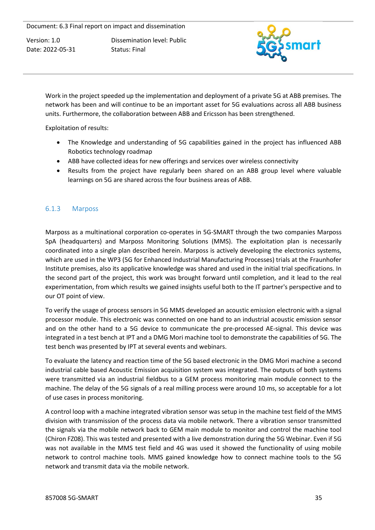Dissemination level: Public Status: Final



Work in the project speeded up the implementation and deployment of a private 5G at ABB premises. The network has been and will continue to be an important asset for 5G evaluations across all ABB business units. Furthermore, the collaboration between ABB and Ericsson has been strengthened.

Exploitation of results:

- The Knowledge and understanding of 5G capabilities gained in the project has influenced ABB Robotics technology roadmap
- ABB have collected ideas for new offerings and services over wireless connectivity
- Results from the project have regularly been shared on an ABB group level where valuable learnings on 5G are shared across the four business areas of ABB.

#### <span id="page-35-0"></span>6.1.3 Marposs

Marposs as a multinational corporation co-operates in 5G-SMART through the two companies Marposs SpA (headquarters) and Marposs Monitoring Solutions (MMS). The exploitation plan is necessarily coordinated into a single plan described herein. Marposs is actively developing the electronics systems, which are used in the WP3 (5G for Enhanced Industrial Manufacturing Processes) trials at the Fraunhofer Institute premises, also its applicative knowledge was shared and used in the initial trial specifications. In the second part of the project, this work was brought forward until completion, and it lead to the real experimentation, from which results we gained insights useful both to the IT partner's perspective and to our OT point of view.

To verify the usage of process sensors in 5G MMS developed an acoustic emission electronic with a signal processor module. This electronic was connected on one hand to an industrial acoustic emission sensor and on the other hand to a 5G device to communicate the pre-processed AE-signal. This device was integrated in a test bench at IPT and a DMG Mori machine tool to demonstrate the capabilities of 5G. The test bench was presented by IPT at several events and webinars.

To evaluate the latency and reaction time of the 5G based electronic in the DMG Mori machine a second industrial cable based Acoustic Emission acquisition system was integrated. The outputs of both systems were transmitted via an industrial fieldbus to a GEM process monitoring main module connect to the machine. The delay of the 5G signals of a real milling process were around 10 ms, so acceptable for a lot of use cases in process monitoring.

A control loop with a machine integrated vibration sensor was setup in the machine test field of the MMS division with transmission of the process data via mobile network. There a vibration sensor transmitted the signals via the mobile network back to GEM main module to monitor and control the machine tool (Chiron FZ08). This was tested and presented with a live demonstration during the 5G Webinar. Even if 5G was not available in the MMS test field and 4G was used it showed the functionality of using mobile network to control machine tools. MMS gained knowledge how to connect machine tools to the 5G network and transmit data via the mobile network.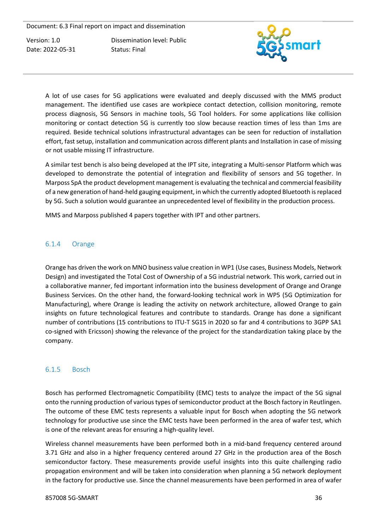Dissemination level: Public Status: Final



A lot of use cases for 5G applications were evaluated and deeply discussed with the MMS product management. The identified use cases are workpiece contact detection, collision monitoring, remote process diagnosis, 5G Sensors in machine tools, 5G Tool holders. For some applications like collision monitoring or contact detection 5G is currently too slow because reaction times of less than 1ms are required. Beside technical solutions infrastructural advantages can be seen for reduction of installation effort, fast setup, installation and communication across different plants and Installation in case of missing or not usable missing IT infrastructure.

A similar test bench is also being developed at the IPT site, integrating a Multi-sensor Platform which was developed to demonstrate the potential of integration and flexibility of sensors and 5G together. In Marposs SpA the product development management is evaluating the technical and commercial feasibility of a new generation of hand-held gauging equipment, in which the currently adopted Bluetooth is replaced by 5G. Such a solution would guarantee an unprecedented level of flexibility in the production process.

MMS and Marposs published 4 papers together with IPT and other partners.

#### <span id="page-36-0"></span>6.1.4 Orange

Orange has driven the work on MNO business value creation in WP1 (Use cases, Business Models, Network Design) and investigated the Total Cost of Ownership of a 5G industrial network. This work, carried out in a collaborative manner, fed important information into the business development of Orange and Orange Business Services. On the other hand, the forward-looking technical work in WP5 (5G Optimization for Manufacturing), where Orange is leading the activity on network architecture, allowed Orange to gain insights on future technological features and contribute to standards. Orange has done a significant number of contributions (15 contributions to ITU-T SG15 in 2020 so far and 4 contributions to 3GPP SA1 co-signed with Ericsson) showing the relevance of the project for the standardization taking place by the company.

#### <span id="page-36-1"></span>6.1.5 Bosch

Bosch has performed Electromagnetic Compatibility (EMC) tests to analyze the impact of the 5G signal onto the running production of various types of semiconductor product at the Bosch factory in Reutlingen. The outcome of these EMC tests represents a valuable input for Bosch when adopting the 5G network technology for productive use since the EMC tests have been performed in the area of wafer test, which is one of the relevant areas for ensuring a high-quality level.

Wireless channel measurements have been performed both in a mid-band frequency centered around 3.71 GHz and also in a higher frequency centered around 27 GHz in the production area of the Bosch semiconductor factory. These measurements provide useful insights into this quite challenging radio propagation environment and will be taken into consideration when planning a 5G network deployment in the factory for productive use. Since the channel measurements have been performed in area of wafer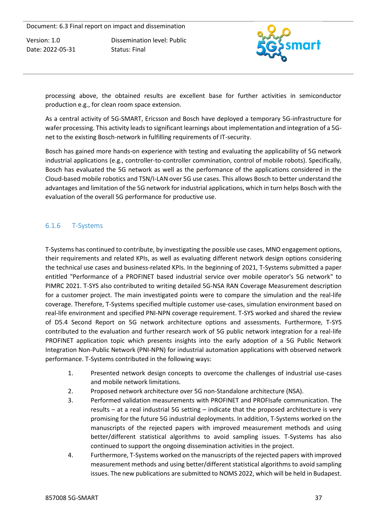Dissemination level: Public Status: Final



processing above, the obtained results are excellent base for further activities in semiconductor production e.g., for clean room space extension.

As a central activity of 5G-SMART, Ericsson and Bosch have deployed a temporary 5G-infrastructure for wafer processing. This activity leads to significant learnings about implementation and integration of a 5Gnet to the existing Bosch-network in fulfilling requirements of IT-security.

Bosch has gained more hands-on experience with testing and evaluating the applicability of 5G network industrial applications (e.g., controller-to-controller commination, control of mobile robots). Specifically, Bosch has evaluated the 5G network as well as the performance of the applications considered in the Cloud-based mobile robotics and TSN/I-LAN over 5G use cases. This allows Bosch to better understand the advantages and limitation of the 5G network for industrial applications, which in turn helps Bosch with the evaluation of the overall 5G performance for productive use.

## <span id="page-37-0"></span>6.1.6 T-Systems

T-Systems has continued to contribute, by investigating the possible use cases, MNO engagement options, their requirements and related KPIs, as well as evaluating different network design options considering the technical use cases and business-related KPIs. In the beginning of 2021, T-Systems submitted a paper entitled ["Performance of a PROFINET based industrial service over mobile operator's 5G network"](https://eteamspace.ericsson.net/download/attachments/28573929/PROFINET_over_5G_05_03.pdf?version=1&modificationDate=1620204118200&api=v2) to PIMRC 2021. T-SYS also contributed to writing detailed 5G-NSA RAN Coverage Measurement description for a customer project. The main investigated points were to compare the simulation and the real-life coverage. Therefore, T-Systems specified multiple customer use-cases, simulation environment based on real-life environment and specified PNI-NPN coverage requirement. T-SYS worked and shared the review of D5.4 Second Report on 5G network architecture options and assessments. Furthermore, T-SYS contributed to the evaluation and further research work of 5G public network integration for a real-life PROFINET application topic which presents insights into the early adoption of a 5G Public Network Integration Non-Public Network (PNI-NPN) for industrial automation applications with observed network performance. T-Systems contributed in the following ways:

- 1. Presented network design concepts to overcome the challenges of industrial use-cases and mobile network limitations.
- 2. Proposed network architecture over 5G non-Standalone architecture (NSA).
- 3. Performed validation measurements with PROFINET and PROFIsafe communication. The results – at a real industrial 5G setting – indicate that the proposed architecture is very promising for the future 5G industrial deployments. In addition, T-Systems worked on the manuscripts of the rejected papers with improved measurement methods and using better/different statistical algorithms to avoid sampling issues. T-Systems has also continued to support the ongoing dissemination activities in the project.
- 4. Furthermore, T-Systems worked on the manuscripts of the rejected papers with improved measurement methods and using better/different statistical algorithms to avoid sampling issues. The new publications are submitted to NOMS 2022, which will be held in Budapest.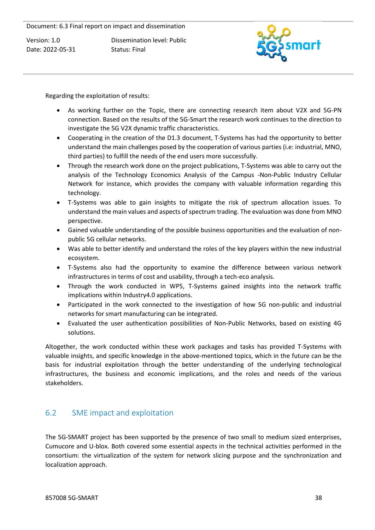Dissemination level: Public Status: Final



Regarding the exploitation of results:

- As working further on the Topic, there are connecting research item about V2X and 5G-PN connection. Based on the results of the 5G-Smart the research work continues to the direction to investigate the 5G V2X dynamic traffic characteristics.
- Cooperating in the creation of the D1.3 document, T-Systems has had the opportunity to better understand the main challenges posed by the cooperation of various parties (i.e: industrial, MNO, third parties) to fulfill the needs of the end users more successfully.
- Through the research work done on the project publications, T-Systems was able to carry out the analysis of the Technology Economics Analysis of the Campus -Non-Public Industry Cellular Network for instance, which provides the company with valuable information regarding this technology.
- T-Systems was able to gain insights to mitigate the risk of spectrum allocation issues. To understand the main values and aspects of spectrum trading. The evaluation was done from MNO perspective.
- Gained valuable understanding of the possible business opportunities and the evaluation of nonpublic 5G cellular networks.
- Was able to better identify and understand the roles of the key players within the new industrial ecosystem.
- T-Systems also had the opportunity to examine the difference between various network infrastructures in terms of cost and usability, through a tech-eco analysis.
- Through the work conducted in WP5, T-Systems gained insights into the network traffic implications within Industry4.0 applications.
- Participated in the work connected to the investigation of how 5G non-public and industrial networks for smart manufacturing can be integrated.
- Evaluated the user authentication possibilities of Non-Public Networks, based on existing 4G solutions.

Altogether, the work conducted within these work packages and tasks has provided T-Systems with valuable insights, and specific knowledge in the above-mentioned topics, which in the future can be the basis for industrial exploitation through the better understanding of the underlying technological infrastructures, the business and economic implications, and the roles and needs of the various stakeholders.

# <span id="page-38-0"></span>6.2 SME impact and exploitation

The 5G-SMART project has been supported by the presence of two small to medium sized enterprises, Cumucore and U-blox. Both covered some essential aspects in the technical activities performed in the consortium: the virtualization of the system for network slicing purpose and the synchronization and localization approach.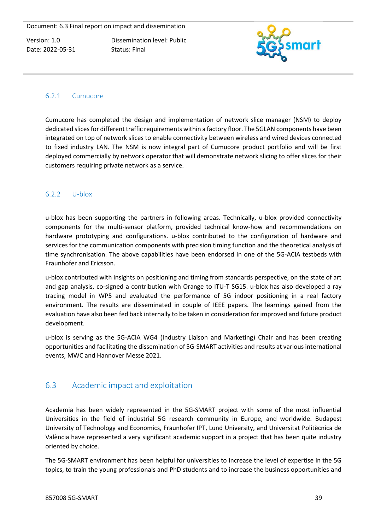Dissemination level: Public Status: Final



#### <span id="page-39-0"></span>6.2.1 Cumucore

Cumucore has completed the design and implementation of network slice manager (NSM) to deploy dedicated slices for different traffic requirements within a factory floor. The 5GLAN components have been integrated on top of network slices to enable connectivity between wireless and wired devices connected to fixed industry LAN. The NSM is now integral part of Cumucore product portfolio and will be first deployed commercially by network operator that will demonstrate network slicing to offer slices for their customers requiring private network as a service.

#### <span id="page-39-1"></span>6.2.2 U-blox

u-blox has been supporting the partners in following areas. Technically, u-blox provided connectivity components for the multi-sensor platform, provided technical know-how and recommendations on hardware prototyping and configurations. u-blox contributed to the configuration of hardware and services for the communication components with precision timing function and the theoretical analysis of time synchronisation. The above capabilities have been endorsed in one of the 5G-ACIA testbeds with Fraunhofer and Ericsson.

u-blox contributed with insights on positioning and timing from standards perspective, on the state of art and gap analysis, co-signed a contribution with Orange to ITU-T SG15. u-blox has also developed a ray tracing model in WP5 and evaluated the performance of 5G indoor positioning in a real factory environment. The results are disseminated in couple of IEEE papers. The learnings gained from the evaluation have also been fed back internally to be taken in consideration for improved and future product development.

u-blox is serving as the 5G-ACIA WG4 (Industry Liaison and Marketing) Chair and has been creating opportunities and facilitating the dissemination of 5G-SMART activities and results at various international events, MWC and Hannover Messe 2021.

# <span id="page-39-2"></span>6.3 Academic impact and exploitation

Academia has been widely represented in the 5G-SMART project with some of the most influential Universities in the field of industrial 5G research community in Europe, and worldwide. Budapest University of Technology and Economics, Fraunhofer IPT, Lund University, and Universitat Politècnica de València have represented a very significant academic support in a project that has been quite industry oriented by choice.

The 5G-SMART environment has been helpful for universities to increase the level of expertise in the 5G topics, to train the young professionals and PhD students and to increase the business opportunities and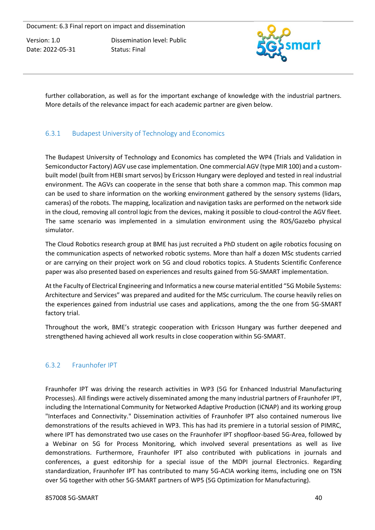Version: 1.0 Date: 2022-05-31 Dissemination level: Public Status: Final



further collaboration, as well as for the important exchange of knowledge with the industrial partners. More details of the relevance impact for each academic partner are given below.

## <span id="page-40-0"></span>6.3.1 Budapest University of Technology and Economics

The Budapest University of Technology and Economics has completed the WP4 (Trials and Validation in Semiconductor Factory) AGV use case implementation. One commercial AGV (type MIR 100) and a custombuilt model (built from HEBI smart servos) by Ericsson Hungary were deployed and tested in real industrial environment. The AGVs can cooperate in the sense that both share a common map. This common map can be used to share information on the working environment gathered by the sensory systems (lidars, cameras) of the robots. The mapping, localization and navigation tasks are performed on the network side in the cloud, removing all control logic from the devices, making it possible to cloud-control the AGV fleet. The same scenario was implemented in a simulation environment using the ROS/Gazebo physical simulator.

The Cloud Robotics research group at BME has just recruited a PhD student on agile robotics focusing on the communication aspects of networked robotic systems. More than half a dozen MSc students carried or are carrying on their project work on 5G and cloud robotics topics. A Students Scientific Conference paper was also presented based on experiences and results gained from 5G-SMART implementation.

At the Faculty of Electrical Engineering and Informatics a new course material entitled "5G Mobile Systems: Architecture and Services" was prepared and audited for the MSc curriculum. The course heavily relies on the experiences gained from industrial use cases and applications, among the the one from 5G-SMART factory trial.

Throughout the work, BME's strategic cooperation with Ericsson Hungary was further deepened and strengthened having achieved all work results in close cooperation within 5G-SMART.

# <span id="page-40-1"></span>6.3.2 Fraunhofer IPT

Fraunhofer IPT was driving the research activities in WP3 (5G for Enhanced Industrial Manufacturing Processes). All findings were actively disseminated among the many industrial partners of Fraunhofer IPT, including the International Community for Networked Adaptive Production (ICNAP) and its working group "Interfaces and Connectivity." Dissemination activities of Fraunhofer IPT also contained numerous live demonstrations of the results achieved in WP3. This has had its premiere in a tutorial session of PIMRC, where IPT has demonstrated two use cases on the Fraunhofer IPT shopfloor-based 5G-Area, followed by a Webinar on 5G for Process Monitoring, which involved several presentations as well as live demonstrations. Furthermore, Fraunhofer IPT also contributed with publications in journals and conferences, a guest editorship for a special issue of the MDPI journal Electronics. Regarding standardization, Fraunhofer IPT has contributed to many 5G-ACIA working items, including one on TSN over 5G together with other 5G-SMART partners of WP5 (5G Optimization for Manufacturing).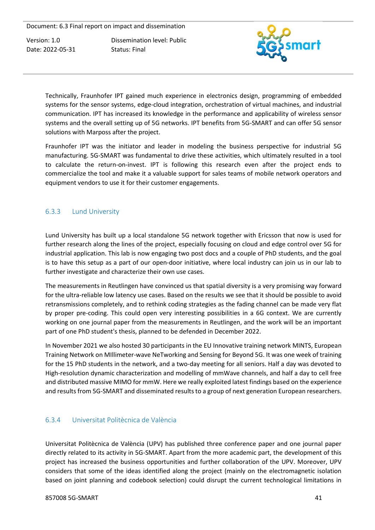Version: 1.0 Date: 2022-05-31 Dissemination level: Public Status: Final



Technically, Fraunhofer IPT gained much experience in electronics design, programming of embedded systems for the sensor systems, edge-cloud integration, orchestration of virtual machines, and industrial communication. IPT has increased its knowledge in the performance and applicability of wireless sensor systems and the overall setting up of 5G networks. IPT benefits from 5G-SMART and can offer 5G sensor solutions with Marposs after the project.

Fraunhofer IPT was the initiator and leader in modeling the business perspective for industrial 5G manufacturing. 5G-SMART was fundamental to drive these activities, which ultimately resulted in a tool to calculate the return-on-invest. IPT is following this research even after the project ends to commercialize the tool and make it a valuable support for sales teams of mobile network operators and equipment vendors to use it for their customer engagements.

#### <span id="page-41-0"></span>6.3.3 Lund University

Lund University has built up a local standalone 5G network together with Ericsson that now is used for further research along the lines of the project, especially focusing on cloud and edge control over 5G for industrial application. This lab is now engaging two post docs and a couple of PhD students, and the goal is to have this setup as a part of our open-door initiative, where local industry can join us in our lab to further investigate and characterize their own use cases.

The measurements in Reutlingen have convinced us that spatial diversity is a very promising way forward for the ultra-reliable low latency use cases. Based on the results we see that it should be possible to avoid retransmissions completely, and to rethink coding strategies as the fading channel can be made very flat by proper pre-coding. This could open very interesting possibilities in a 6G context. We are currently working on one journal paper from the measurements in Reutlingen, and the work will be an important part of one PhD student's thesis, planned to be defended in December 2022.

In November 2021 we also hosted 30 participants in the EU Innovative training network MINTS, European Training Network on MIllimeter-wave NeTworking and Sensing for Beyond 5G. It was one week of training for the 15 PhD students in the network, and a two-day meeting for all seniors. Half a day was devoted to High-resolution dynamic characterization and modelling of mmWave channels, and half a day to cell free and distributed massive MIMO for mmW. Here we really exploited latest findings based on the experience and results from 5G-SMART and disseminated results to a group of next generation European researchers.

#### <span id="page-41-1"></span>6.3.4 Universitat Politècnica de València

Universitat Politècnica de València (UPV) has published three conference paper and one journal paper directly related to its activity in 5G-SMART. Apart from the more academic part, the development of this project has increased the business opportunities and further collaboration of the UPV. Moreover, UPV considers that some of the ideas identified along the project (mainly on the electromagnetic isolation based on joint planning and codebook selection) could disrupt the current technological limitations in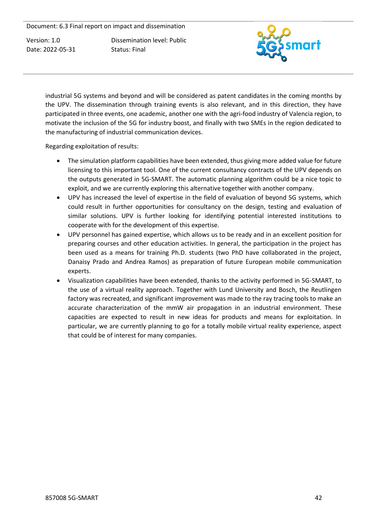Version: 1.0 Date: 2022-05-31 Dissemination level: Public Status: Final



industrial 5G systems and beyond and will be considered as patent candidates in the coming months by the UPV. The dissemination through training events is also relevant, and in this direction, they have participated in three events, one academic, another one with the agri-food industry of Valencia region, to motivate the inclusion of the 5G for industry boost, and finally with two SMEs in the region dedicated to the manufacturing of industrial communication devices.

Regarding exploitation of results:

- The simulation platform capabilities have been extended, thus giving more added value for future licensing to this important tool. One of the current consultancy contracts of the UPV depends on the outputs generated in 5G-SMART. The automatic planning algorithm could be a nice topic to exploit, and we are currently exploring this alternative together with another company.
- UPV has increased the level of expertise in the field of evaluation of beyond 5G systems, which could result in further opportunities for consultancy on the design, testing and evaluation of similar solutions. UPV is further looking for identifying potential interested institutions to cooperate with for the development of this expertise.
- UPV personnel has gained expertise, which allows us to be ready and in an excellent position for preparing courses and other education activities. In general, the participation in the project has been used as a means for training Ph.D. students (two PhD have collaborated in the project, Danaisy Prado and Andrea Ramos) as preparation of future European mobile communication experts.
- Visualization capabilities have been extended, thanks to the activity performed in 5G-SMART, to the use of a virtual reality approach. Together with Lund University and Bosch, the Reutlingen factory was recreated, and significant improvement was made to the ray tracing tools to make an accurate characterization of the mmW air propagation in an industrial environment. These capacities are expected to result in new ideas for products and means for exploitation. In particular, we are currently planning to go for a totally mobile virtual reality experience, aspect that could be of interest for many companies.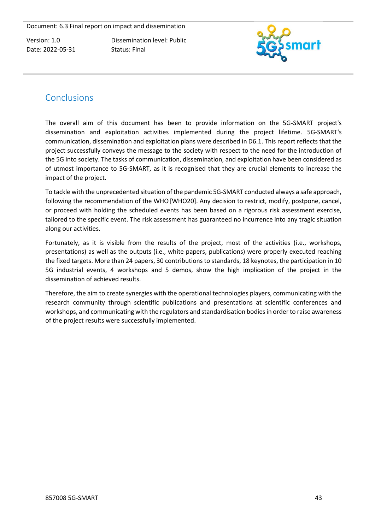Dissemination level: Public Status: Final



# <span id="page-43-0"></span>**Conclusions**

The overall aim of this document has been to provide information on the 5G-SMART project's dissemination and exploitation activities implemented during the project lifetime. 5G-SMART's communication, dissemination and exploitation plans were described in D6.1. This report reflects that the project successfully conveys the message to the society with respect to the need for the introduction of the 5G into society. The tasks of communication, dissemination, and exploitation have been considered as of utmost importance to 5G-SMART, as it is recognised that they are crucial elements to increase the impact of the project.

To tackle with the unprecedented situation of the pandemic 5G-SMART conducted always a safe approach, following the recommendation of the WHO[WHO20]. Any decision to restrict, modify, postpone, cancel, or proceed with holding the scheduled events has been based on a rigorous risk assessment exercise, tailored to the specific event. The risk assessment has guaranteed no incurrence into any tragic situation along our activities.

Fortunately, as it is visible from the results of the project, most of the activities (i.e., workshops, presentations) as well as the outputs (i.e., white papers, publications) were properly executed reaching the fixed targets. More than 24 papers, 30 contributions to standards, 18 keynotes, the participation in 10 5G industrial events, 4 workshops and 5 demos, show the high implication of the project in the dissemination of achieved results.

Therefore, the aim to create synergies with the operational technologies players, communicating with the research community through scientific publications and presentations at scientific conferences and workshops, and communicating with the regulators and standardisation bodies in order to raise awareness of the project results were successfully implemented.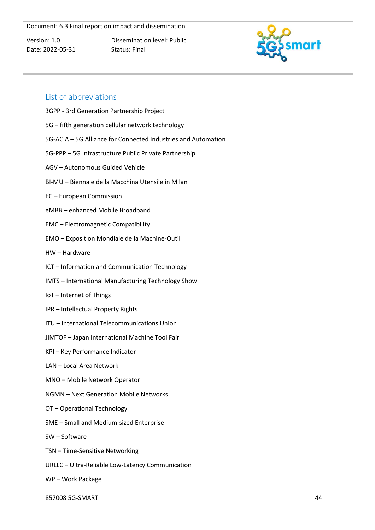Version: 1.0 Date: 2022-05-31 Dissemination level: Public Status: Final



## <span id="page-44-0"></span>List of abbreviations

- 3GPP 3rd Generation Partnership Project
- 5G fifth generation cellular network technology
- 5G-ACIA 5G Alliance for Connected Industries and Automation
- 5G-PPP 5G Infrastructure Public Private Partnership
- AGV Autonomous Guided Vehicle
- BI-MU Biennale della Macchina Utensile in Milan
- EC European Commission
- eMBB enhanced Mobile Broadband
- EMC Electromagnetic Compatibility
- EMO Exposition Mondiale de la Machine-Outil
- HW Hardware
- ICT Information and Communication Technology
- IMTS International Manufacturing Technology Show
- IoT Internet of Things
- IPR Intellectual Property Rights
- ITU International Telecommunications Union
- JIMTOF Japan International Machine Tool Fair
- KPI Key Performance Indicator
- LAN Local Area Network
- MNO Mobile Network Operator
- NGMN Next Generation Mobile Networks
- OT Operational Technology
- SME Small and Medium-sized Enterprise
- SW Software
- TSN Time-Sensitive Networking
- URLLC Ultra-Reliable Low-Latency Communication
- WP Work Package
- 857008 5G-SMART 44